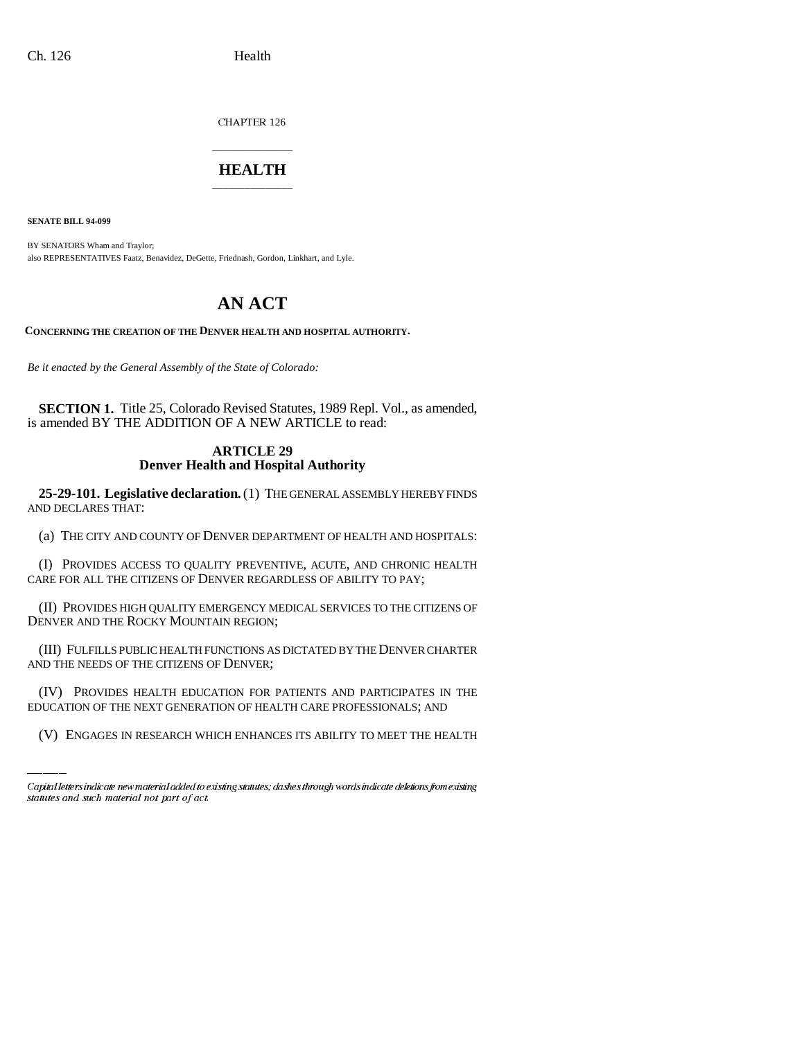CHAPTER 126

## \_\_\_\_\_\_\_\_\_\_\_\_\_\_\_ **HEALTH** \_\_\_\_\_\_\_\_\_\_\_\_\_\_\_

**SENATE BILL 94-099**

BY SENATORS Wham and Traylor; also REPRESENTATIVES Faatz, Benavidez, DeGette, Friednash, Gordon, Linkhart, and Lyle.

# **AN ACT**

**CONCERNING THE CREATION OF THE DENVER HEALTH AND HOSPITAL AUTHORITY.**

*Be it enacted by the General Assembly of the State of Colorado:*

**SECTION 1.** Title 25, Colorado Revised Statutes, 1989 Repl. Vol., as amended, is amended BY THE ADDITION OF A NEW ARTICLE to read:

### **ARTICLE 29 Denver Health and Hospital Authority**

**25-29-101. Legislative declaration.** (1) THE GENERAL ASSEMBLY HEREBY FINDS AND DECLARES THAT:

(a) THE CITY AND COUNTY OF DENVER DEPARTMENT OF HEALTH AND HOSPITALS:

(I) PROVIDES ACCESS TO QUALITY PREVENTIVE, ACUTE, AND CHRONIC HEALTH CARE FOR ALL THE CITIZENS OF DENVER REGARDLESS OF ABILITY TO PAY;

(II) PROVIDES HIGH QUALITY EMERGENCY MEDICAL SERVICES TO THE CITIZENS OF DENVER AND THE ROCKY MOUNTAIN REGION;

AND THE NEEDS OF THE CITIZENS OF DENVER; (III) FULFILLS PUBLIC HEALTH FUNCTIONS AS DICTATED BY THE DENVER CHARTER

(IV) PROVIDES HEALTH EDUCATION FOR PATIENTS AND PARTICIPATES IN THE EDUCATION OF THE NEXT GENERATION OF HEALTH CARE PROFESSIONALS; AND

(V) ENGAGES IN RESEARCH WHICH ENHANCES ITS ABILITY TO MEET THE HEALTH

Capital letters indicate new material added to existing statutes; dashes through words indicate deletions from existing statutes and such material not part of act.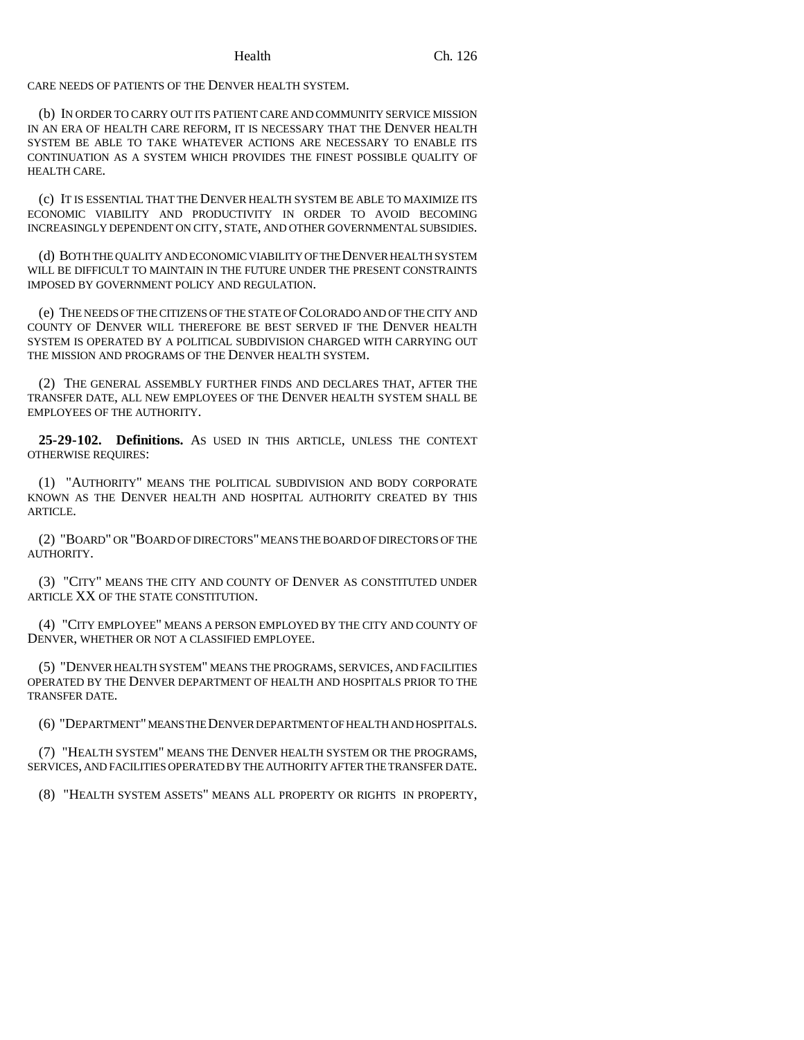CARE NEEDS OF PATIENTS OF THE DENVER HEALTH SYSTEM.

(b) IN ORDER TO CARRY OUT ITS PATIENT CARE AND COMMUNITY SERVICE MISSION IN AN ERA OF HEALTH CARE REFORM, IT IS NECESSARY THAT THE DENVER HEALTH SYSTEM BE ABLE TO TAKE WHATEVER ACTIONS ARE NECESSARY TO ENABLE ITS CONTINUATION AS A SYSTEM WHICH PROVIDES THE FINEST POSSIBLE QUALITY OF HEALTH CARE.

(c) IT IS ESSENTIAL THAT THE DENVER HEALTH SYSTEM BE ABLE TO MAXIMIZE ITS ECONOMIC VIABILITY AND PRODUCTIVITY IN ORDER TO AVOID BECOMING INCREASINGLY DEPENDENT ON CITY, STATE, AND OTHER GOVERNMENTAL SUBSIDIES.

(d) BOTH THE QUALITY AND ECONOMIC VIABILITY OF THE DENVER HEALTH SYSTEM WILL BE DIFFICULT TO MAINTAIN IN THE FUTURE UNDER THE PRESENT CONSTRAINTS IMPOSED BY GOVERNMENT POLICY AND REGULATION.

(e) THE NEEDS OF THE CITIZENS OF THE STATE OF COLORADO AND OF THE CITY AND COUNTY OF DENVER WILL THEREFORE BE BEST SERVED IF THE DENVER HEALTH SYSTEM IS OPERATED BY A POLITICAL SUBDIVISION CHARGED WITH CARRYING OUT THE MISSION AND PROGRAMS OF THE DENVER HEALTH SYSTEM.

(2) THE GENERAL ASSEMBLY FURTHER FINDS AND DECLARES THAT, AFTER THE TRANSFER DATE, ALL NEW EMPLOYEES OF THE DENVER HEALTH SYSTEM SHALL BE EMPLOYEES OF THE AUTHORITY.

**25-29-102. Definitions.** AS USED IN THIS ARTICLE, UNLESS THE CONTEXT OTHERWISE REQUIRES:

(1) "AUTHORITY" MEANS THE POLITICAL SUBDIVISION AND BODY CORPORATE KNOWN AS THE DENVER HEALTH AND HOSPITAL AUTHORITY CREATED BY THIS ARTICLE.

(2) "BOARD" OR "BOARD OF DIRECTORS" MEANS THE BOARD OF DIRECTORS OF THE AUTHORITY.

(3) "CITY" MEANS THE CITY AND COUNTY OF DENVER AS CONSTITUTED UNDER ARTICLE XX OF THE STATE CONSTITUTION.

(4) "CITY EMPLOYEE" MEANS A PERSON EMPLOYED BY THE CITY AND COUNTY OF DENVER, WHETHER OR NOT A CLASSIFIED EMPLOYEE.

(5) "DENVER HEALTH SYSTEM" MEANS THE PROGRAMS, SERVICES, AND FACILITIES OPERATED BY THE DENVER DEPARTMENT OF HEALTH AND HOSPITALS PRIOR TO THE TRANSFER DATE.

(6) "DEPARTMENT" MEANS THE DENVER DEPARTMENT OF HEALTH AND HOSPITALS.

(7) "HEALTH SYSTEM" MEANS THE DENVER HEALTH SYSTEM OR THE PROGRAMS, SERVICES, AND FACILITIES OPERATED BY THE AUTHORITY AFTER THE TRANSFER DATE.

(8) "HEALTH SYSTEM ASSETS" MEANS ALL PROPERTY OR RIGHTS IN PROPERTY,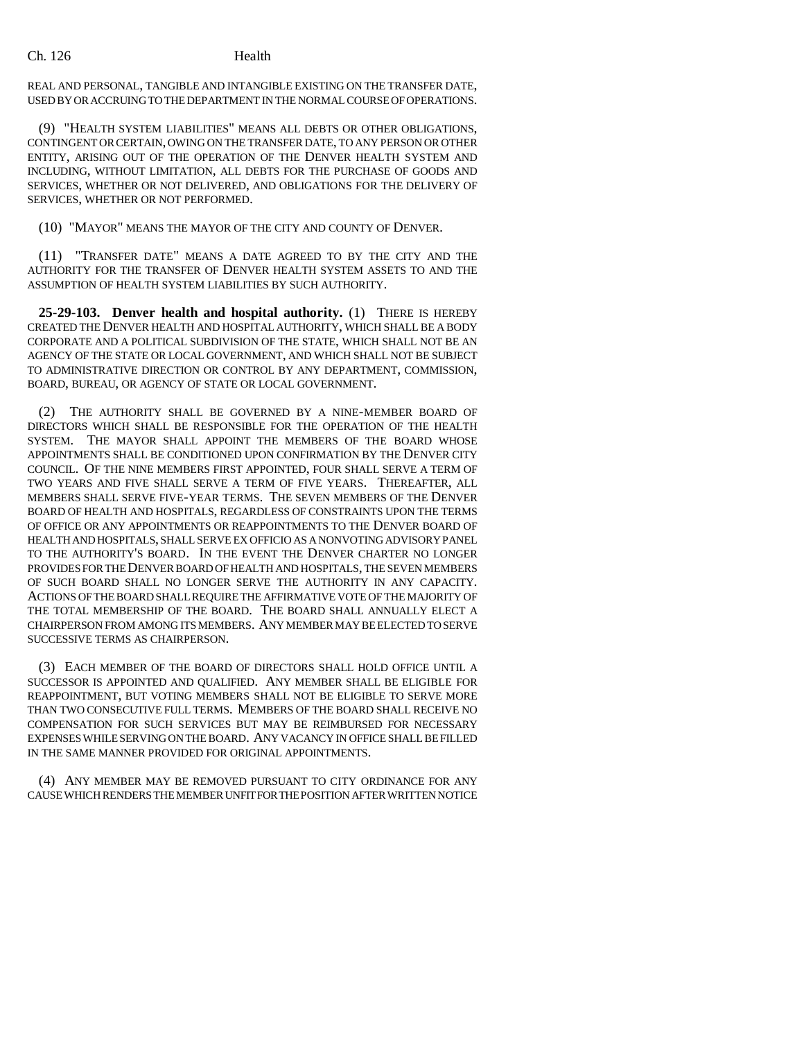REAL AND PERSONAL, TANGIBLE AND INTANGIBLE EXISTING ON THE TRANSFER DATE, USED BY OR ACCRUING TO THE DEPARTMENT IN THE NORMAL COURSE OF OPERATIONS.

(9) "HEALTH SYSTEM LIABILITIES" MEANS ALL DEBTS OR OTHER OBLIGATIONS, CONTINGENT OR CERTAIN, OWING ON THE TRANSFER DATE, TO ANY PERSON OR OTHER ENTITY, ARISING OUT OF THE OPERATION OF THE DENVER HEALTH SYSTEM AND INCLUDING, WITHOUT LIMITATION, ALL DEBTS FOR THE PURCHASE OF GOODS AND SERVICES, WHETHER OR NOT DELIVERED, AND OBLIGATIONS FOR THE DELIVERY OF SERVICES, WHETHER OR NOT PERFORMED.

(10) "MAYOR" MEANS THE MAYOR OF THE CITY AND COUNTY OF DENVER.

(11) "TRANSFER DATE" MEANS A DATE AGREED TO BY THE CITY AND THE AUTHORITY FOR THE TRANSFER OF DENVER HEALTH SYSTEM ASSETS TO AND THE ASSUMPTION OF HEALTH SYSTEM LIABILITIES BY SUCH AUTHORITY.

**25-29-103. Denver health and hospital authority.** (1) THERE IS HEREBY CREATED THE DENVER HEALTH AND HOSPITAL AUTHORITY, WHICH SHALL BE A BODY CORPORATE AND A POLITICAL SUBDIVISION OF THE STATE, WHICH SHALL NOT BE AN AGENCY OF THE STATE OR LOCAL GOVERNMENT, AND WHICH SHALL NOT BE SUBJECT TO ADMINISTRATIVE DIRECTION OR CONTROL BY ANY DEPARTMENT, COMMISSION, BOARD, BUREAU, OR AGENCY OF STATE OR LOCAL GOVERNMENT.

THE AUTHORITY SHALL BE GOVERNED BY A NINE-MEMBER BOARD OF DIRECTORS WHICH SHALL BE RESPONSIBLE FOR THE OPERATION OF THE HEALTH SYSTEM. THE MAYOR SHALL APPOINT THE MEMBERS OF THE BOARD WHOSE APPOINTMENTS SHALL BE CONDITIONED UPON CONFIRMATION BY THE DENVER CITY COUNCIL. OF THE NINE MEMBERS FIRST APPOINTED, FOUR SHALL SERVE A TERM OF TWO YEARS AND FIVE SHALL SERVE A TERM OF FIVE YEARS. THEREAFTER, ALL MEMBERS SHALL SERVE FIVE-YEAR TERMS. THE SEVEN MEMBERS OF THE DENVER BOARD OF HEALTH AND HOSPITALS, REGARDLESS OF CONSTRAINTS UPON THE TERMS OF OFFICE OR ANY APPOINTMENTS OR REAPPOINTMENTS TO THE DENVER BOARD OF HEALTH AND HOSPITALS, SHALL SERVE EX OFFICIO AS A NONVOTING ADVISORY PANEL TO THE AUTHORITY'S BOARD. IN THE EVENT THE DENVER CHARTER NO LONGER PROVIDES FOR THE DENVER BOARD OF HEALTH AND HOSPITALS, THE SEVEN MEMBERS OF SUCH BOARD SHALL NO LONGER SERVE THE AUTHORITY IN ANY CAPACITY. ACTIONS OF THE BOARD SHALL REQUIRE THE AFFIRMATIVE VOTE OF THE MAJORITY OF THE TOTAL MEMBERSHIP OF THE BOARD. THE BOARD SHALL ANNUALLY ELECT A CHAIRPERSON FROM AMONG ITS MEMBERS. ANY MEMBER MAY BE ELECTED TO SERVE SUCCESSIVE TERMS AS CHAIRPERSON.

(3) EACH MEMBER OF THE BOARD OF DIRECTORS SHALL HOLD OFFICE UNTIL A SUCCESSOR IS APPOINTED AND QUALIFIED. ANY MEMBER SHALL BE ELIGIBLE FOR REAPPOINTMENT, BUT VOTING MEMBERS SHALL NOT BE ELIGIBLE TO SERVE MORE THAN TWO CONSECUTIVE FULL TERMS. MEMBERS OF THE BOARD SHALL RECEIVE NO COMPENSATION FOR SUCH SERVICES BUT MAY BE REIMBURSED FOR NECESSARY EXPENSES WHILE SERVING ON THE BOARD. ANY VACANCY IN OFFICE SHALL BE FILLED IN THE SAME MANNER PROVIDED FOR ORIGINAL APPOINTMENTS.

(4) ANY MEMBER MAY BE REMOVED PURSUANT TO CITY ORDINANCE FOR ANY CAUSE WHICH RENDERS THE MEMBER UNFIT FOR THE POSITION AFTER WRITTEN NOTICE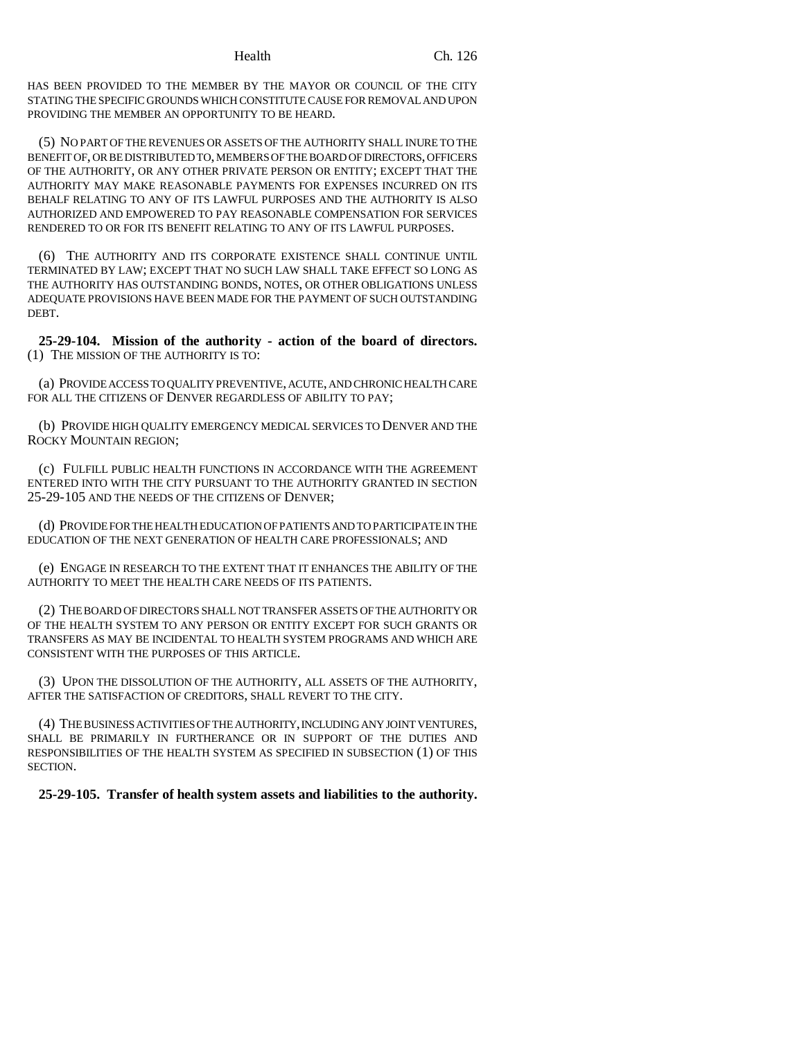HAS BEEN PROVIDED TO THE MEMBER BY THE MAYOR OR COUNCIL OF THE CITY STATING THE SPECIFIC GROUNDS WHICH CONSTITUTE CAUSE FOR REMOVAL AND UPON PROVIDING THE MEMBER AN OPPORTUNITY TO BE HEARD.

(5) NO PART OF THE REVENUES OR ASSETS OF THE AUTHORITY SHALL INURE TO THE BENEFIT OF, OR BE DISTRIBUTED TO, MEMBERS OF THE BOARD OF DIRECTORS, OFFICERS OF THE AUTHORITY, OR ANY OTHER PRIVATE PERSON OR ENTITY; EXCEPT THAT THE AUTHORITY MAY MAKE REASONABLE PAYMENTS FOR EXPENSES INCURRED ON ITS BEHALF RELATING TO ANY OF ITS LAWFUL PURPOSES AND THE AUTHORITY IS ALSO AUTHORIZED AND EMPOWERED TO PAY REASONABLE COMPENSATION FOR SERVICES RENDERED TO OR FOR ITS BENEFIT RELATING TO ANY OF ITS LAWFUL PURPOSES.

(6) THE AUTHORITY AND ITS CORPORATE EXISTENCE SHALL CONTINUE UNTIL TERMINATED BY LAW; EXCEPT THAT NO SUCH LAW SHALL TAKE EFFECT SO LONG AS THE AUTHORITY HAS OUTSTANDING BONDS, NOTES, OR OTHER OBLIGATIONS UNLESS ADEQUATE PROVISIONS HAVE BEEN MADE FOR THE PAYMENT OF SUCH OUTSTANDING DEBT.

**25-29-104. Mission of the authority - action of the board of directors.** (1) THE MISSION OF THE AUTHORITY IS TO:

(a) PROVIDE ACCESS TO QUALITY PREVENTIVE, ACUTE, AND CHRONIC HEALTH CARE FOR ALL THE CITIZENS OF DENVER REGARDLESS OF ABILITY TO PAY;

(b) PROVIDE HIGH QUALITY EMERGENCY MEDICAL SERVICES TO DENVER AND THE ROCKY MOUNTAIN REGION;

(c) FULFILL PUBLIC HEALTH FUNCTIONS IN ACCORDANCE WITH THE AGREEMENT ENTERED INTO WITH THE CITY PURSUANT TO THE AUTHORITY GRANTED IN SECTION 25-29-105 AND THE NEEDS OF THE CITIZENS OF DENVER;

(d) PROVIDE FOR THE HEALTH EDUCATION OF PATIENTS AND TO PARTICIPATE IN THE EDUCATION OF THE NEXT GENERATION OF HEALTH CARE PROFESSIONALS; AND

(e) ENGAGE IN RESEARCH TO THE EXTENT THAT IT ENHANCES THE ABILITY OF THE AUTHORITY TO MEET THE HEALTH CARE NEEDS OF ITS PATIENTS.

(2) THE BOARD OF DIRECTORS SHALL NOT TRANSFER ASSETS OF THE AUTHORITY OR OF THE HEALTH SYSTEM TO ANY PERSON OR ENTITY EXCEPT FOR SUCH GRANTS OR TRANSFERS AS MAY BE INCIDENTAL TO HEALTH SYSTEM PROGRAMS AND WHICH ARE CONSISTENT WITH THE PURPOSES OF THIS ARTICLE.

(3) UPON THE DISSOLUTION OF THE AUTHORITY, ALL ASSETS OF THE AUTHORITY, AFTER THE SATISFACTION OF CREDITORS, SHALL REVERT TO THE CITY.

(4) THE BUSINESS ACTIVITIES OF THE AUTHORITY, INCLUDING ANY JOINT VENTURES, SHALL BE PRIMARILY IN FURTHERANCE OR IN SUPPORT OF THE DUTIES AND RESPONSIBILITIES OF THE HEALTH SYSTEM AS SPECIFIED IN SUBSECTION (1) OF THIS SECTION.

**25-29-105. Transfer of health system assets and liabilities to the authority.**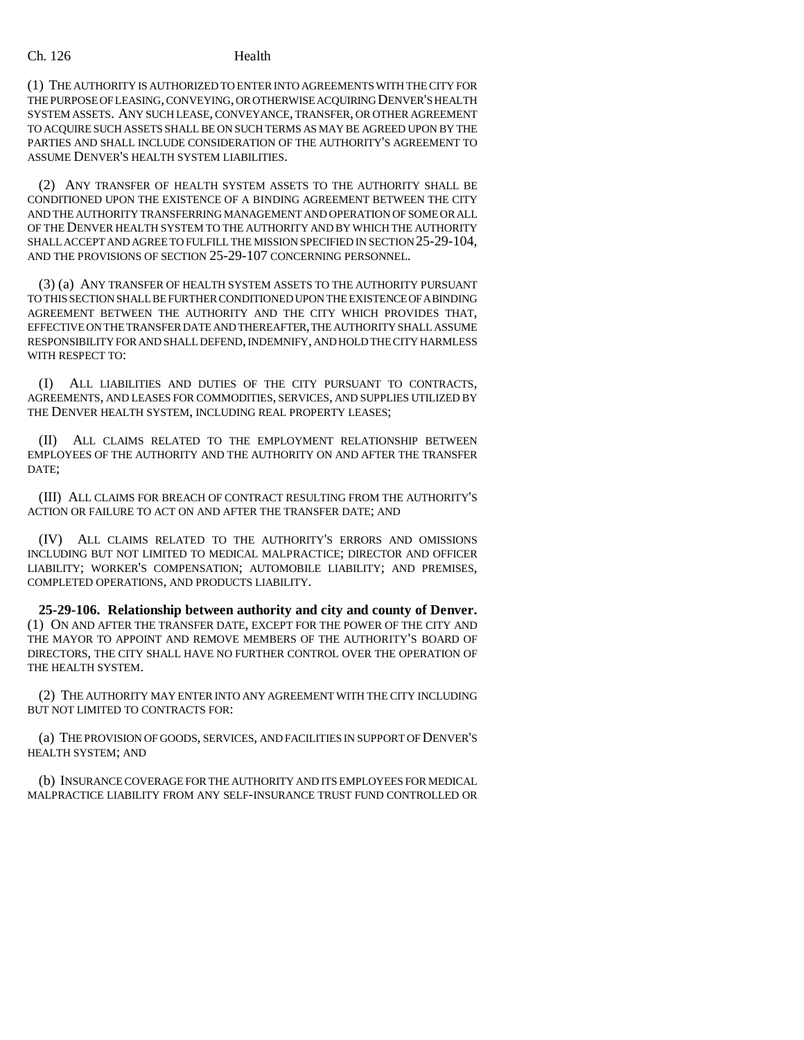### Ch. 126 Health

(1) THE AUTHORITY IS AUTHORIZED TO ENTER INTO AGREEMENTS WITH THE CITY FOR THE PURPOSE OF LEASING, CONVEYING, OR OTHERWISE ACQUIRING DENVER'S HEALTH SYSTEM ASSETS. ANY SUCH LEASE, CONVEYANCE, TRANSFER, OR OTHER AGREEMENT TO ACQUIRE SUCH ASSETS SHALL BE ON SUCH TERMS AS MAY BE AGREED UPON BY THE PARTIES AND SHALL INCLUDE CONSIDERATION OF THE AUTHORITY'S AGREEMENT TO ASSUME DENVER'S HEALTH SYSTEM LIABILITIES.

(2) ANY TRANSFER OF HEALTH SYSTEM ASSETS TO THE AUTHORITY SHALL BE CONDITIONED UPON THE EXISTENCE OF A BINDING AGREEMENT BETWEEN THE CITY AND THE AUTHORITY TRANSFERRING MANAGEMENT AND OPERATION OF SOME OR ALL OF THE DENVER HEALTH SYSTEM TO THE AUTHORITY AND BY WHICH THE AUTHORITY SHALL ACCEPT AND AGREE TO FULFILL THE MISSION SPECIFIED IN SECTION 25-29-104, AND THE PROVISIONS OF SECTION 25-29-107 CONCERNING PERSONNEL.

(3) (a) ANY TRANSFER OF HEALTH SYSTEM ASSETS TO THE AUTHORITY PURSUANT TO THIS SECTION SHALL BE FURTHER CONDITIONED UPON THE EXISTENCE OF A BINDING AGREEMENT BETWEEN THE AUTHORITY AND THE CITY WHICH PROVIDES THAT, EFFECTIVE ON THE TRANSFER DATE AND THEREAFTER, THE AUTHORITY SHALL ASSUME RESPONSIBILITY FOR AND SHALL DEFEND, INDEMNIFY, AND HOLD THE CITY HARMLESS WITH RESPECT TO:

(I) ALL LIABILITIES AND DUTIES OF THE CITY PURSUANT TO CONTRACTS, AGREEMENTS, AND LEASES FOR COMMODITIES, SERVICES, AND SUPPLIES UTILIZED BY THE DENVER HEALTH SYSTEM, INCLUDING REAL PROPERTY LEASES;

(II) ALL CLAIMS RELATED TO THE EMPLOYMENT RELATIONSHIP BETWEEN EMPLOYEES OF THE AUTHORITY AND THE AUTHORITY ON AND AFTER THE TRANSFER DATE;

(III) ALL CLAIMS FOR BREACH OF CONTRACT RESULTING FROM THE AUTHORITY'S ACTION OR FAILURE TO ACT ON AND AFTER THE TRANSFER DATE; AND

(IV) ALL CLAIMS RELATED TO THE AUTHORITY'S ERRORS AND OMISSIONS INCLUDING BUT NOT LIMITED TO MEDICAL MALPRACTICE; DIRECTOR AND OFFICER LIABILITY; WORKER'S COMPENSATION; AUTOMOBILE LIABILITY; AND PREMISES, COMPLETED OPERATIONS, AND PRODUCTS LIABILITY.

**25-29-106. Relationship between authority and city and county of Denver.** (1) ON AND AFTER THE TRANSFER DATE, EXCEPT FOR THE POWER OF THE CITY AND THE MAYOR TO APPOINT AND REMOVE MEMBERS OF THE AUTHORITY'S BOARD OF DIRECTORS, THE CITY SHALL HAVE NO FURTHER CONTROL OVER THE OPERATION OF THE HEALTH SYSTEM.

(2) THE AUTHORITY MAY ENTER INTO ANY AGREEMENT WITH THE CITY INCLUDING BUT NOT LIMITED TO CONTRACTS FOR:

(a) THE PROVISION OF GOODS, SERVICES, AND FACILITIES IN SUPPORT OF DENVER'S HEALTH SYSTEM; AND

(b) INSURANCE COVERAGE FOR THE AUTHORITY AND ITS EMPLOYEES FOR MEDICAL MALPRACTICE LIABILITY FROM ANY SELF-INSURANCE TRUST FUND CONTROLLED OR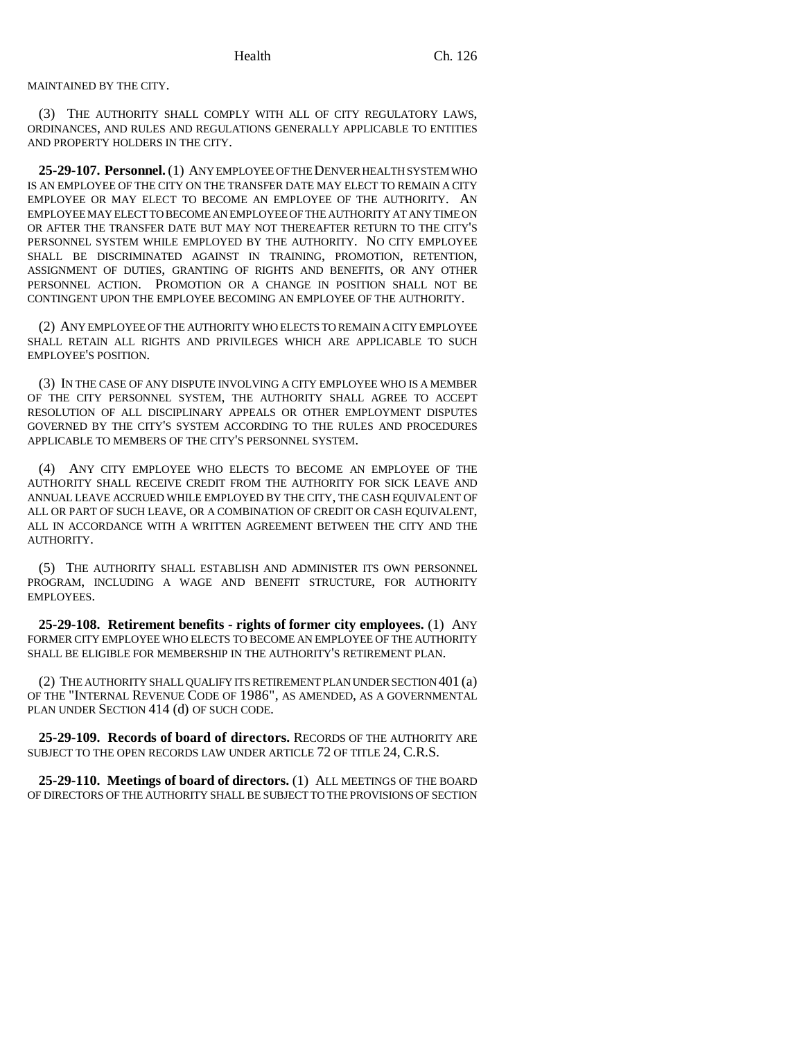MAINTAINED BY THE CITY.

(3) THE AUTHORITY SHALL COMPLY WITH ALL OF CITY REGULATORY LAWS, ORDINANCES, AND RULES AND REGULATIONS GENERALLY APPLICABLE TO ENTITIES AND PROPERTY HOLDERS IN THE CITY.

**25-29-107. Personnel.** (1) ANY EMPLOYEE OF THE DENVER HEALTH SYSTEM WHO IS AN EMPLOYEE OF THE CITY ON THE TRANSFER DATE MAY ELECT TO REMAIN A CITY EMPLOYEE OR MAY ELECT TO BECOME AN EMPLOYEE OF THE AUTHORITY. AN EMPLOYEE MAY ELECT TO BECOME AN EMPLOYEE OF THE AUTHORITY AT ANY TIME ON OR AFTER THE TRANSFER DATE BUT MAY NOT THEREAFTER RETURN TO THE CITY'S PERSONNEL SYSTEM WHILE EMPLOYED BY THE AUTHORITY. NO CITY EMPLOYEE SHALL BE DISCRIMINATED AGAINST IN TRAINING, PROMOTION, RETENTION, ASSIGNMENT OF DUTIES, GRANTING OF RIGHTS AND BENEFITS, OR ANY OTHER PERSONNEL ACTION. PROMOTION OR A CHANGE IN POSITION SHALL NOT BE CONTINGENT UPON THE EMPLOYEE BECOMING AN EMPLOYEE OF THE AUTHORITY.

(2) ANY EMPLOYEE OF THE AUTHORITY WHO ELECTS TO REMAIN A CITY EMPLOYEE SHALL RETAIN ALL RIGHTS AND PRIVILEGES WHICH ARE APPLICABLE TO SUCH EMPLOYEE'S POSITION.

(3) IN THE CASE OF ANY DISPUTE INVOLVING A CITY EMPLOYEE WHO IS A MEMBER OF THE CITY PERSONNEL SYSTEM, THE AUTHORITY SHALL AGREE TO ACCEPT RESOLUTION OF ALL DISCIPLINARY APPEALS OR OTHER EMPLOYMENT DISPUTES GOVERNED BY THE CITY'S SYSTEM ACCORDING TO THE RULES AND PROCEDURES APPLICABLE TO MEMBERS OF THE CITY'S PERSONNEL SYSTEM.

(4) ANY CITY EMPLOYEE WHO ELECTS TO BECOME AN EMPLOYEE OF THE AUTHORITY SHALL RECEIVE CREDIT FROM THE AUTHORITY FOR SICK LEAVE AND ANNUAL LEAVE ACCRUED WHILE EMPLOYED BY THE CITY, THE CASH EQUIVALENT OF ALL OR PART OF SUCH LEAVE, OR A COMBINATION OF CREDIT OR CASH EQUIVALENT, ALL IN ACCORDANCE WITH A WRITTEN AGREEMENT BETWEEN THE CITY AND THE AUTHORITY.

(5) THE AUTHORITY SHALL ESTABLISH AND ADMINISTER ITS OWN PERSONNEL PROGRAM, INCLUDING A WAGE AND BENEFIT STRUCTURE, FOR AUTHORITY EMPLOYEES.

**25-29-108. Retirement benefits - rights of former city employees.** (1) ANY FORMER CITY EMPLOYEE WHO ELECTS TO BECOME AN EMPLOYEE OF THE AUTHORITY SHALL BE ELIGIBLE FOR MEMBERSHIP IN THE AUTHORITY'S RETIREMENT PLAN.

(2) THE AUTHORITY SHALL QUALIFY ITS RETIREMENT PLAN UNDER SECTION 401 (a) OF THE "INTERNAL REVENUE CODE OF 1986", AS AMENDED, AS A GOVERNMENTAL PLAN UNDER SECTION 414 (d) OF SUCH CODE.

**25-29-109. Records of board of directors.** RECORDS OF THE AUTHORITY ARE SUBJECT TO THE OPEN RECORDS LAW UNDER ARTICLE 72 OF TITLE 24, C.R.S.

**25-29-110. Meetings of board of directors.** (1) ALL MEETINGS OF THE BOARD OF DIRECTORS OF THE AUTHORITY SHALL BE SUBJECT TO THE PROVISIONS OF SECTION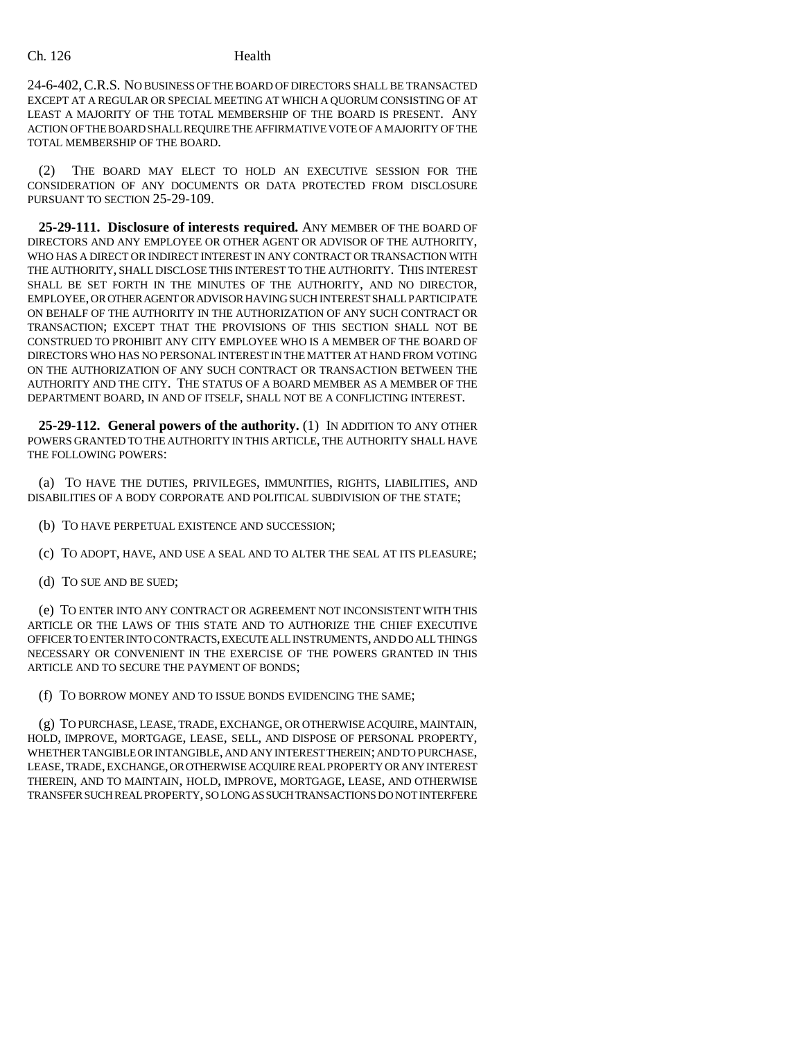24-6-402,C.R.S. NO BUSINESS OF THE BOARD OF DIRECTORS SHALL BE TRANSACTED EXCEPT AT A REGULAR OR SPECIAL MEETING AT WHICH A QUORUM CONSISTING OF AT LEAST A MAJORITY OF THE TOTAL MEMBERSHIP OF THE BOARD IS PRESENT. ANY ACTION OF THE BOARD SHALL REQUIRE THE AFFIRMATIVE VOTE OF A MAJORITY OF THE TOTAL MEMBERSHIP OF THE BOARD.

(2) THE BOARD MAY ELECT TO HOLD AN EXECUTIVE SESSION FOR THE CONSIDERATION OF ANY DOCUMENTS OR DATA PROTECTED FROM DISCLOSURE PURSUANT TO SECTION 25-29-109.

**25-29-111. Disclosure of interests required.** ANY MEMBER OF THE BOARD OF DIRECTORS AND ANY EMPLOYEE OR OTHER AGENT OR ADVISOR OF THE AUTHORITY, WHO HAS A DIRECT OR INDIRECT INTEREST IN ANY CONTRACT OR TRANSACTION WITH THE AUTHORITY, SHALL DISCLOSE THIS INTEREST TO THE AUTHORITY. THIS INTEREST SHALL BE SET FORTH IN THE MINUTES OF THE AUTHORITY, AND NO DIRECTOR, EMPLOYEE, OR OTHER AGENT OR ADVISOR HAVING SUCH INTEREST SHALL PARTICIPATE ON BEHALF OF THE AUTHORITY IN THE AUTHORIZATION OF ANY SUCH CONTRACT OR TRANSACTION; EXCEPT THAT THE PROVISIONS OF THIS SECTION SHALL NOT BE CONSTRUED TO PROHIBIT ANY CITY EMPLOYEE WHO IS A MEMBER OF THE BOARD OF DIRECTORS WHO HAS NO PERSONAL INTEREST IN THE MATTER AT HAND FROM VOTING ON THE AUTHORIZATION OF ANY SUCH CONTRACT OR TRANSACTION BETWEEN THE AUTHORITY AND THE CITY. THE STATUS OF A BOARD MEMBER AS A MEMBER OF THE DEPARTMENT BOARD, IN AND OF ITSELF, SHALL NOT BE A CONFLICTING INTEREST.

**25-29-112. General powers of the authority.** (1) IN ADDITION TO ANY OTHER POWERS GRANTED TO THE AUTHORITY IN THIS ARTICLE, THE AUTHORITY SHALL HAVE THE FOLLOWING POWERS:

(a) TO HAVE THE DUTIES, PRIVILEGES, IMMUNITIES, RIGHTS, LIABILITIES, AND DISABILITIES OF A BODY CORPORATE AND POLITICAL SUBDIVISION OF THE STATE;

- (b) TO HAVE PERPETUAL EXISTENCE AND SUCCESSION;
- (c) TO ADOPT, HAVE, AND USE A SEAL AND TO ALTER THE SEAL AT ITS PLEASURE;
- (d) TO SUE AND BE SUED;

(e) TO ENTER INTO ANY CONTRACT OR AGREEMENT NOT INCONSISTENT WITH THIS ARTICLE OR THE LAWS OF THIS STATE AND TO AUTHORIZE THE CHIEF EXECUTIVE OFFICER TO ENTER INTO CONTRACTS, EXECUTE ALL INSTRUMENTS, AND DO ALL THINGS NECESSARY OR CONVENIENT IN THE EXERCISE OF THE POWERS GRANTED IN THIS ARTICLE AND TO SECURE THE PAYMENT OF BONDS;

(f) TO BORROW MONEY AND TO ISSUE BONDS EVIDENCING THE SAME;

(g) TO PURCHASE, LEASE, TRADE, EXCHANGE, OR OTHERWISE ACQUIRE, MAINTAIN, HOLD, IMPROVE, MORTGAGE, LEASE, SELL, AND DISPOSE OF PERSONAL PROPERTY, WHETHER TANGIBLE OR INTANGIBLE, AND ANY INTEREST THEREIN; AND TO PURCHASE, LEASE, TRADE, EXCHANGE, OR OTHERWISE ACQUIRE REAL PROPERTY OR ANY INTEREST THEREIN, AND TO MAINTAIN, HOLD, IMPROVE, MORTGAGE, LEASE, AND OTHERWISE TRANSFER SUCH REAL PROPERTY, SO LONG AS SUCH TRANSACTIONS DO NOT INTERFERE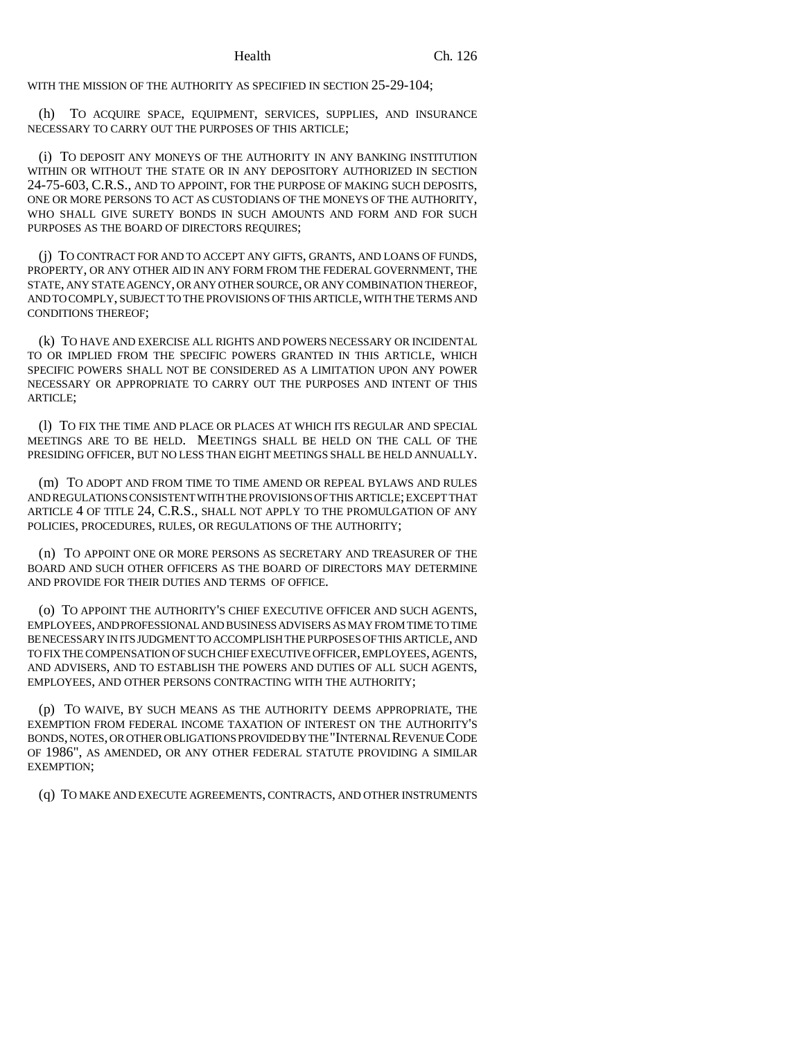WITH THE MISSION OF THE AUTHORITY AS SPECIFIED IN SECTION 25-29-104;

(h) TO ACQUIRE SPACE, EQUIPMENT, SERVICES, SUPPLIES, AND INSURANCE NECESSARY TO CARRY OUT THE PURPOSES OF THIS ARTICLE;

(i) TO DEPOSIT ANY MONEYS OF THE AUTHORITY IN ANY BANKING INSTITUTION WITHIN OR WITHOUT THE STATE OR IN ANY DEPOSITORY AUTHORIZED IN SECTION 24-75-603, C.R.S., AND TO APPOINT, FOR THE PURPOSE OF MAKING SUCH DEPOSITS, ONE OR MORE PERSONS TO ACT AS CUSTODIANS OF THE MONEYS OF THE AUTHORITY, WHO SHALL GIVE SURETY BONDS IN SUCH AMOUNTS AND FORM AND FOR SUCH PURPOSES AS THE BOARD OF DIRECTORS REQUIRES;

(j) TO CONTRACT FOR AND TO ACCEPT ANY GIFTS, GRANTS, AND LOANS OF FUNDS, PROPERTY, OR ANY OTHER AID IN ANY FORM FROM THE FEDERAL GOVERNMENT, THE STATE, ANY STATE AGENCY, OR ANY OTHER SOURCE, OR ANY COMBINATION THEREOF, AND TO COMPLY, SUBJECT TO THE PROVISIONS OF THIS ARTICLE, WITH THE TERMS AND CONDITIONS THEREOF;

(k) TO HAVE AND EXERCISE ALL RIGHTS AND POWERS NECESSARY OR INCIDENTAL TO OR IMPLIED FROM THE SPECIFIC POWERS GRANTED IN THIS ARTICLE, WHICH SPECIFIC POWERS SHALL NOT BE CONSIDERED AS A LIMITATION UPON ANY POWER NECESSARY OR APPROPRIATE TO CARRY OUT THE PURPOSES AND INTENT OF THIS ARTICLE;

(l) TO FIX THE TIME AND PLACE OR PLACES AT WHICH ITS REGULAR AND SPECIAL MEETINGS ARE TO BE HELD. MEETINGS SHALL BE HELD ON THE CALL OF THE PRESIDING OFFICER, BUT NO LESS THAN EIGHT MEETINGS SHALL BE HELD ANNUALLY.

(m) TO ADOPT AND FROM TIME TO TIME AMEND OR REPEAL BYLAWS AND RULES AND REGULATIONS CONSISTENT WITH THE PROVISIONS OF THIS ARTICLE; EXCEPT THAT ARTICLE 4 OF TITLE 24, C.R.S., SHALL NOT APPLY TO THE PROMULGATION OF ANY POLICIES, PROCEDURES, RULES, OR REGULATIONS OF THE AUTHORITY;

(n) TO APPOINT ONE OR MORE PERSONS AS SECRETARY AND TREASURER OF THE BOARD AND SUCH OTHER OFFICERS AS THE BOARD OF DIRECTORS MAY DETERMINE AND PROVIDE FOR THEIR DUTIES AND TERMS OF OFFICE.

(o) TO APPOINT THE AUTHORITY'S CHIEF EXECUTIVE OFFICER AND SUCH AGENTS, EMPLOYEES, AND PROFESSIONAL AND BUSINESS ADVISERS AS MAY FROM TIME TO TIME BE NECESSARY IN ITS JUDGMENT TO ACCOMPLISH THE PURPOSES OF THIS ARTICLE, AND TO FIX THE COMPENSATION OF SUCH CHIEF EXECUTIVE OFFICER, EMPLOYEES, AGENTS, AND ADVISERS, AND TO ESTABLISH THE POWERS AND DUTIES OF ALL SUCH AGENTS, EMPLOYEES, AND OTHER PERSONS CONTRACTING WITH THE AUTHORITY;

(p) TO WAIVE, BY SUCH MEANS AS THE AUTHORITY DEEMS APPROPRIATE, THE EXEMPTION FROM FEDERAL INCOME TAXATION OF INTEREST ON THE AUTHORITY'S BONDS, NOTES, OR OTHER OBLIGATIONS PROVIDED BY THE "INTERNAL REVENUE CODE OF 1986", AS AMENDED, OR ANY OTHER FEDERAL STATUTE PROVIDING A SIMILAR EXEMPTION;

(q) TO MAKE AND EXECUTE AGREEMENTS, CONTRACTS, AND OTHER INSTRUMENTS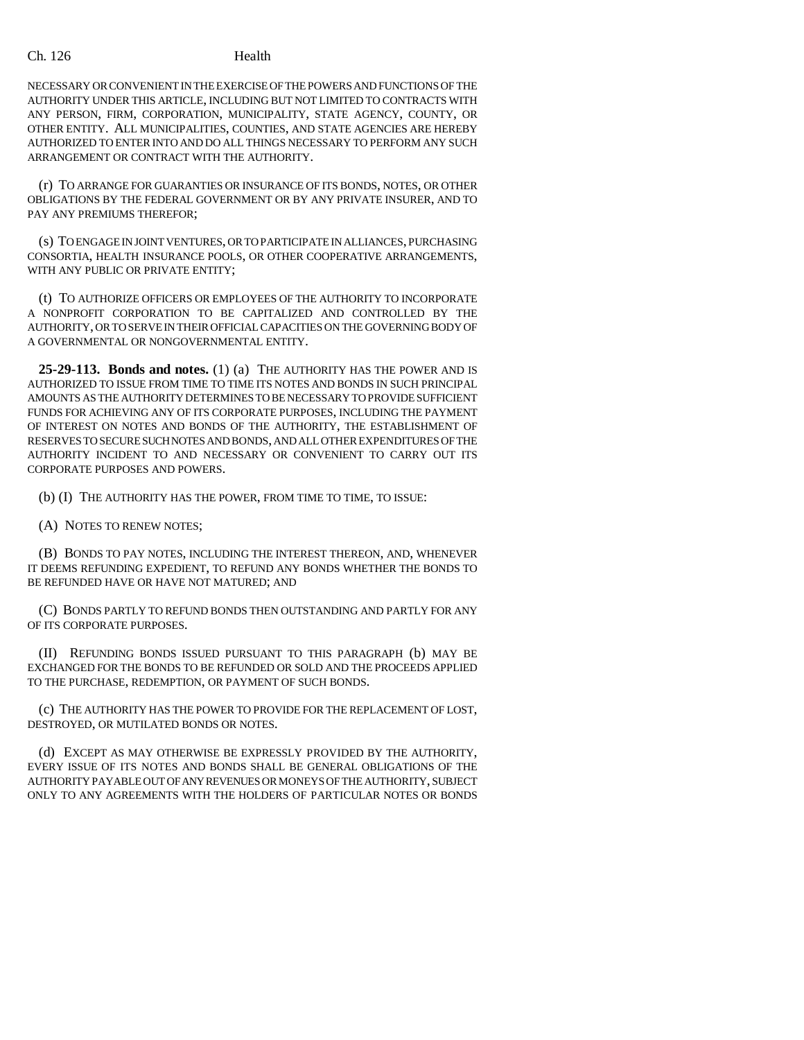NECESSARY OR CONVENIENT IN THE EXERCISE OF THE POWERS AND FUNCTIONS OF THE AUTHORITY UNDER THIS ARTICLE, INCLUDING BUT NOT LIMITED TO CONTRACTS WITH ANY PERSON, FIRM, CORPORATION, MUNICIPALITY, STATE AGENCY, COUNTY, OR OTHER ENTITY. ALL MUNICIPALITIES, COUNTIES, AND STATE AGENCIES ARE HEREBY AUTHORIZED TO ENTER INTO AND DO ALL THINGS NECESSARY TO PERFORM ANY SUCH ARRANGEMENT OR CONTRACT WITH THE AUTHORITY.

(r) TO ARRANGE FOR GUARANTIES OR INSURANCE OF ITS BONDS, NOTES, OR OTHER OBLIGATIONS BY THE FEDERAL GOVERNMENT OR BY ANY PRIVATE INSURER, AND TO PAY ANY PREMIUMS THEREFOR;

(s) TO ENGAGE IN JOINT VENTURES, OR TO PARTICIPATE IN ALLIANCES, PURCHASING CONSORTIA, HEALTH INSURANCE POOLS, OR OTHER COOPERATIVE ARRANGEMENTS, WITH ANY PUBLIC OR PRIVATE ENTITY;

(t) TO AUTHORIZE OFFICERS OR EMPLOYEES OF THE AUTHORITY TO INCORPORATE A NONPROFIT CORPORATION TO BE CAPITALIZED AND CONTROLLED BY THE AUTHORITY, OR TO SERVE IN THEIR OFFICIAL CAPACITIES ON THE GOVERNING BODY OF A GOVERNMENTAL OR NONGOVERNMENTAL ENTITY.

**25-29-113. Bonds and notes.** (1) (a) THE AUTHORITY HAS THE POWER AND IS AUTHORIZED TO ISSUE FROM TIME TO TIME ITS NOTES AND BONDS IN SUCH PRINCIPAL AMOUNTS AS THE AUTHORITY DETERMINES TO BE NECESSARY TO PROVIDE SUFFICIENT FUNDS FOR ACHIEVING ANY OF ITS CORPORATE PURPOSES, INCLUDING THE PAYMENT OF INTEREST ON NOTES AND BONDS OF THE AUTHORITY, THE ESTABLISHMENT OF RESERVES TO SECURE SUCH NOTES AND BONDS, AND ALL OTHER EXPENDITURES OF THE AUTHORITY INCIDENT TO AND NECESSARY OR CONVENIENT TO CARRY OUT ITS CORPORATE PURPOSES AND POWERS.

(b) (I) THE AUTHORITY HAS THE POWER, FROM TIME TO TIME, TO ISSUE:

(A) NOTES TO RENEW NOTES;

(B) BONDS TO PAY NOTES, INCLUDING THE INTEREST THEREON, AND, WHENEVER IT DEEMS REFUNDING EXPEDIENT, TO REFUND ANY BONDS WHETHER THE BONDS TO BE REFUNDED HAVE OR HAVE NOT MATURED; AND

(C) BONDS PARTLY TO REFUND BONDS THEN OUTSTANDING AND PARTLY FOR ANY OF ITS CORPORATE PURPOSES.

(II) REFUNDING BONDS ISSUED PURSUANT TO THIS PARAGRAPH (b) MAY BE EXCHANGED FOR THE BONDS TO BE REFUNDED OR SOLD AND THE PROCEEDS APPLIED TO THE PURCHASE, REDEMPTION, OR PAYMENT OF SUCH BONDS.

(c) THE AUTHORITY HAS THE POWER TO PROVIDE FOR THE REPLACEMENT OF LOST, DESTROYED, OR MUTILATED BONDS OR NOTES.

(d) EXCEPT AS MAY OTHERWISE BE EXPRESSLY PROVIDED BY THE AUTHORITY, EVERY ISSUE OF ITS NOTES AND BONDS SHALL BE GENERAL OBLIGATIONS OF THE AUTHORITY PAYABLE OUT OF ANY REVENUES OR MONEYS OF THE AUTHORITY, SUBJECT ONLY TO ANY AGREEMENTS WITH THE HOLDERS OF PARTICULAR NOTES OR BONDS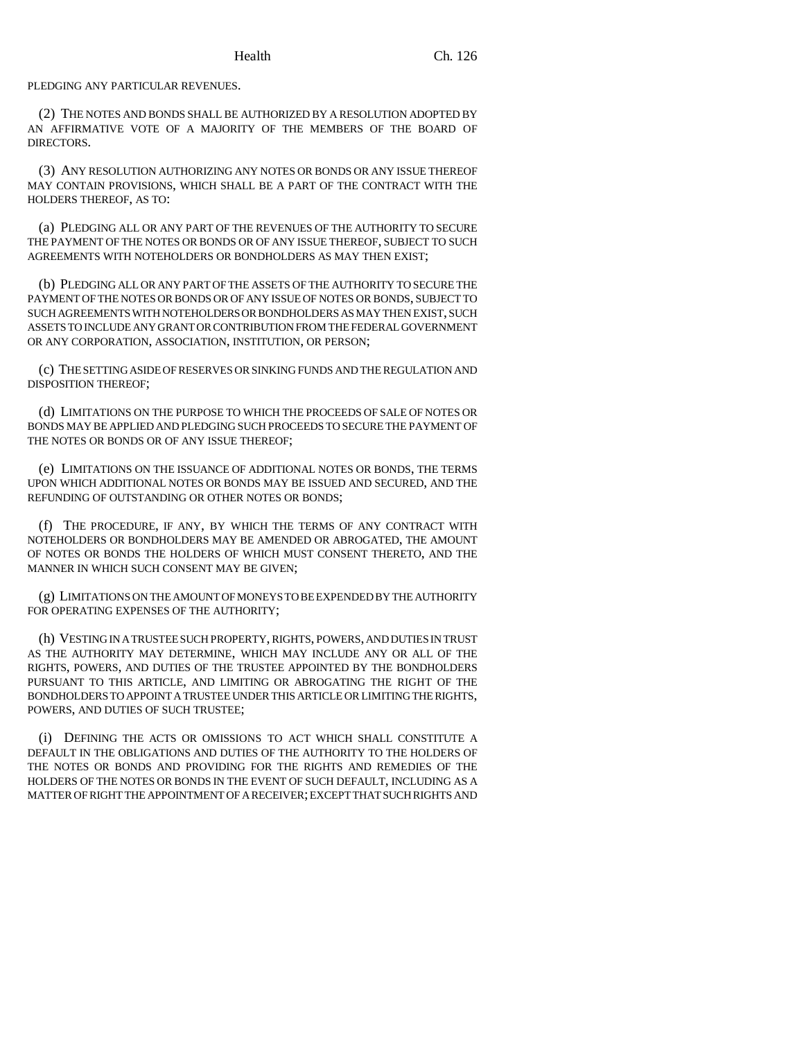PLEDGING ANY PARTICULAR REVENUES.

(2) THE NOTES AND BONDS SHALL BE AUTHORIZED BY A RESOLUTION ADOPTED BY AN AFFIRMATIVE VOTE OF A MAJORITY OF THE MEMBERS OF THE BOARD OF DIRECTORS.

(3) ANY RESOLUTION AUTHORIZING ANY NOTES OR BONDS OR ANY ISSUE THEREOF MAY CONTAIN PROVISIONS, WHICH SHALL BE A PART OF THE CONTRACT WITH THE HOLDERS THEREOF, AS TO:

(a) PLEDGING ALL OR ANY PART OF THE REVENUES OF THE AUTHORITY TO SECURE THE PAYMENT OF THE NOTES OR BONDS OR OF ANY ISSUE THEREOF, SUBJECT TO SUCH AGREEMENTS WITH NOTEHOLDERS OR BONDHOLDERS AS MAY THEN EXIST;

(b) PLEDGING ALL OR ANY PART OF THE ASSETS OF THE AUTHORITY TO SECURE THE PAYMENT OF THE NOTES OR BONDS OR OF ANY ISSUE OF NOTES OR BONDS, SUBJECT TO SUCH AGREEMENTS WITH NOTEHOLDERS OR BONDHOLDERS AS MAY THEN EXIST, SUCH ASSETS TO INCLUDE ANY GRANT OR CONTRIBUTION FROM THE FEDERAL GOVERNMENT OR ANY CORPORATION, ASSOCIATION, INSTITUTION, OR PERSON;

(c) THE SETTING ASIDE OF RESERVES OR SINKING FUNDS AND THE REGULATION AND DISPOSITION THEREOF;

(d) LIMITATIONS ON THE PURPOSE TO WHICH THE PROCEEDS OF SALE OF NOTES OR BONDS MAY BE APPLIED AND PLEDGING SUCH PROCEEDS TO SECURE THE PAYMENT OF THE NOTES OR BONDS OR OF ANY ISSUE THEREOF;

(e) LIMITATIONS ON THE ISSUANCE OF ADDITIONAL NOTES OR BONDS, THE TERMS UPON WHICH ADDITIONAL NOTES OR BONDS MAY BE ISSUED AND SECURED, AND THE REFUNDING OF OUTSTANDING OR OTHER NOTES OR BONDS;

(f) THE PROCEDURE, IF ANY, BY WHICH THE TERMS OF ANY CONTRACT WITH NOTEHOLDERS OR BONDHOLDERS MAY BE AMENDED OR ABROGATED, THE AMOUNT OF NOTES OR BONDS THE HOLDERS OF WHICH MUST CONSENT THERETO, AND THE MANNER IN WHICH SUCH CONSENT MAY BE GIVEN;

(g) LIMITATIONS ON THE AMOUNT OF MONEYS TO BE EXPENDED BY THE AUTHORITY FOR OPERATING EXPENSES OF THE AUTHORITY;

(h) VESTING IN A TRUSTEE SUCH PROPERTY, RIGHTS, POWERS, AND DUTIES IN TRUST AS THE AUTHORITY MAY DETERMINE, WHICH MAY INCLUDE ANY OR ALL OF THE RIGHTS, POWERS, AND DUTIES OF THE TRUSTEE APPOINTED BY THE BONDHOLDERS PURSUANT TO THIS ARTICLE, AND LIMITING OR ABROGATING THE RIGHT OF THE BONDHOLDERS TO APPOINT A TRUSTEE UNDER THIS ARTICLE OR LIMITING THE RIGHTS, POWERS, AND DUTIES OF SUCH TRUSTEE;

(i) DEFINING THE ACTS OR OMISSIONS TO ACT WHICH SHALL CONSTITUTE A DEFAULT IN THE OBLIGATIONS AND DUTIES OF THE AUTHORITY TO THE HOLDERS OF THE NOTES OR BONDS AND PROVIDING FOR THE RIGHTS AND REMEDIES OF THE HOLDERS OF THE NOTES OR BONDS IN THE EVENT OF SUCH DEFAULT, INCLUDING AS A MATTER OF RIGHT THE APPOINTMENT OF A RECEIVER; EXCEPT THAT SUCH RIGHTS AND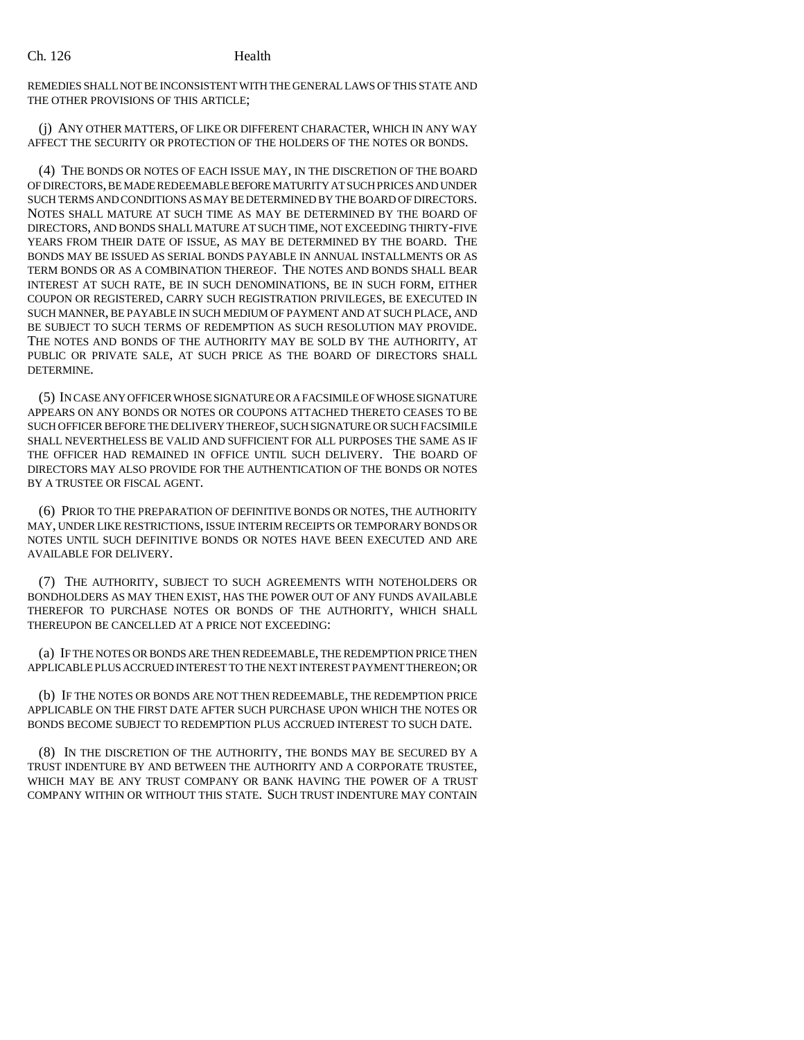REMEDIES SHALL NOT BE INCONSISTENT WITH THE GENERAL LAWS OF THIS STATE AND THE OTHER PROVISIONS OF THIS ARTICLE;

(j) ANY OTHER MATTERS, OF LIKE OR DIFFERENT CHARACTER, WHICH IN ANY WAY AFFECT THE SECURITY OR PROTECTION OF THE HOLDERS OF THE NOTES OR BONDS.

(4) THE BONDS OR NOTES OF EACH ISSUE MAY, IN THE DISCRETION OF THE BOARD OF DIRECTORS, BE MADE REDEEMABLE BEFORE MATURITY AT SUCH PRICES AND UNDER SUCH TERMS AND CONDITIONS AS MAY BE DETERMINED BY THE BOARD OF DIRECTORS. NOTES SHALL MATURE AT SUCH TIME AS MAY BE DETERMINED BY THE BOARD OF DIRECTORS, AND BONDS SHALL MATURE AT SUCH TIME, NOT EXCEEDING THIRTY-FIVE YEARS FROM THEIR DATE OF ISSUE, AS MAY BE DETERMINED BY THE BOARD. THE BONDS MAY BE ISSUED AS SERIAL BONDS PAYABLE IN ANNUAL INSTALLMENTS OR AS TERM BONDS OR AS A COMBINATION THEREOF. THE NOTES AND BONDS SHALL BEAR INTEREST AT SUCH RATE, BE IN SUCH DENOMINATIONS, BE IN SUCH FORM, EITHER COUPON OR REGISTERED, CARRY SUCH REGISTRATION PRIVILEGES, BE EXECUTED IN SUCH MANNER, BE PAYABLE IN SUCH MEDIUM OF PAYMENT AND AT SUCH PLACE, AND BE SUBJECT TO SUCH TERMS OF REDEMPTION AS SUCH RESOLUTION MAY PROVIDE. THE NOTES AND BONDS OF THE AUTHORITY MAY BE SOLD BY THE AUTHORITY, AT PUBLIC OR PRIVATE SALE, AT SUCH PRICE AS THE BOARD OF DIRECTORS SHALL DETERMINE.

(5) IN CASE ANY OFFICER WHOSE SIGNATURE OR A FACSIMILE OF WHOSE SIGNATURE APPEARS ON ANY BONDS OR NOTES OR COUPONS ATTACHED THERETO CEASES TO BE SUCH OFFICER BEFORE THE DELIVERY THEREOF, SUCH SIGNATURE OR SUCH FACSIMILE SHALL NEVERTHELESS BE VALID AND SUFFICIENT FOR ALL PURPOSES THE SAME AS IF THE OFFICER HAD REMAINED IN OFFICE UNTIL SUCH DELIVERY. THE BOARD OF DIRECTORS MAY ALSO PROVIDE FOR THE AUTHENTICATION OF THE BONDS OR NOTES BY A TRUSTEE OR FISCAL AGENT.

(6) PRIOR TO THE PREPARATION OF DEFINITIVE BONDS OR NOTES, THE AUTHORITY MAY, UNDER LIKE RESTRICTIONS, ISSUE INTERIM RECEIPTS OR TEMPORARY BONDS OR NOTES UNTIL SUCH DEFINITIVE BONDS OR NOTES HAVE BEEN EXECUTED AND ARE AVAILABLE FOR DELIVERY.

(7) THE AUTHORITY, SUBJECT TO SUCH AGREEMENTS WITH NOTEHOLDERS OR BONDHOLDERS AS MAY THEN EXIST, HAS THE POWER OUT OF ANY FUNDS AVAILABLE THEREFOR TO PURCHASE NOTES OR BONDS OF THE AUTHORITY, WHICH SHALL THEREUPON BE CANCELLED AT A PRICE NOT EXCEEDING:

(a) IF THE NOTES OR BONDS ARE THEN REDEEMABLE, THE REDEMPTION PRICE THEN APPLICABLE PLUS ACCRUED INTEREST TO THE NEXT INTEREST PAYMENT THEREON; OR

(b) IF THE NOTES OR BONDS ARE NOT THEN REDEEMABLE, THE REDEMPTION PRICE APPLICABLE ON THE FIRST DATE AFTER SUCH PURCHASE UPON WHICH THE NOTES OR BONDS BECOME SUBJECT TO REDEMPTION PLUS ACCRUED INTEREST TO SUCH DATE.

(8) IN THE DISCRETION OF THE AUTHORITY, THE BONDS MAY BE SECURED BY A TRUST INDENTURE BY AND BETWEEN THE AUTHORITY AND A CORPORATE TRUSTEE, WHICH MAY BE ANY TRUST COMPANY OR BANK HAVING THE POWER OF A TRUST COMPANY WITHIN OR WITHOUT THIS STATE. SUCH TRUST INDENTURE MAY CONTAIN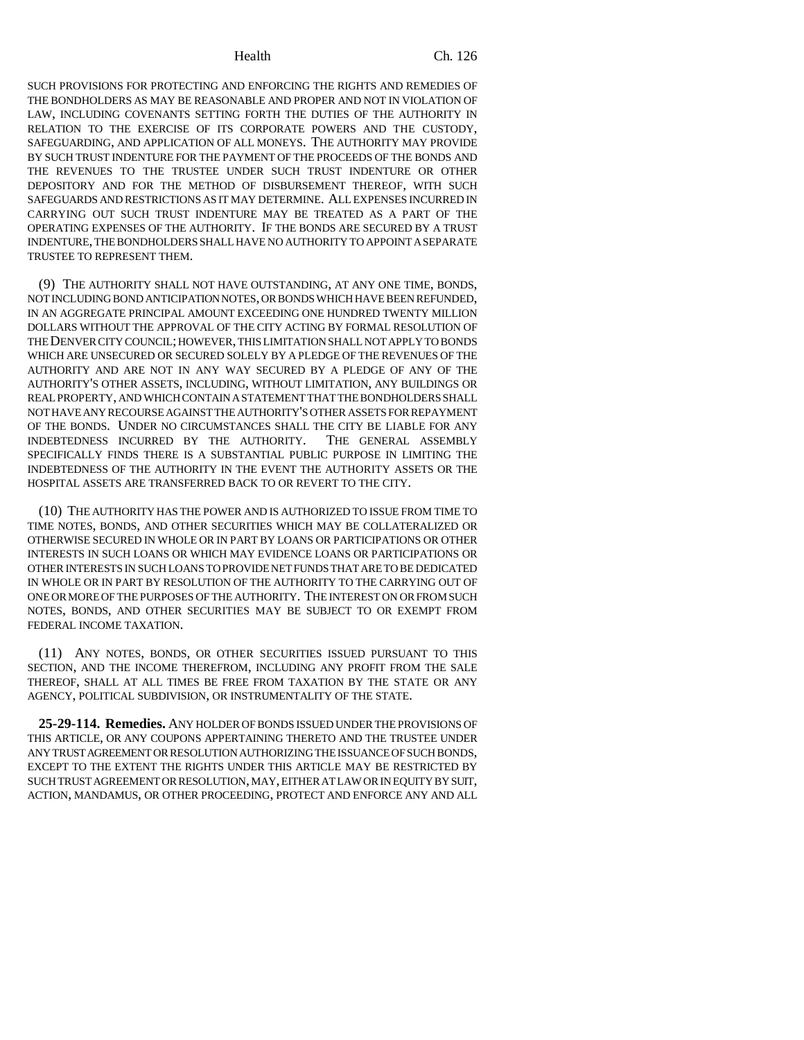SUCH PROVISIONS FOR PROTECTING AND ENFORCING THE RIGHTS AND REMEDIES OF THE BONDHOLDERS AS MAY BE REASONABLE AND PROPER AND NOT IN VIOLATION OF LAW, INCLUDING COVENANTS SETTING FORTH THE DUTIES OF THE AUTHORITY IN RELATION TO THE EXERCISE OF ITS CORPORATE POWERS AND THE CUSTODY, SAFEGUARDING, AND APPLICATION OF ALL MONEYS. THE AUTHORITY MAY PROVIDE BY SUCH TRUST INDENTURE FOR THE PAYMENT OF THE PROCEEDS OF THE BONDS AND THE REVENUES TO THE TRUSTEE UNDER SUCH TRUST INDENTURE OR OTHER DEPOSITORY AND FOR THE METHOD OF DISBURSEMENT THEREOF, WITH SUCH SAFEGUARDS AND RESTRICTIONS AS IT MAY DETERMINE. ALL EXPENSES INCURRED IN CARRYING OUT SUCH TRUST INDENTURE MAY BE TREATED AS A PART OF THE OPERATING EXPENSES OF THE AUTHORITY. IF THE BONDS ARE SECURED BY A TRUST INDENTURE, THE BONDHOLDERS SHALL HAVE NO AUTHORITY TO APPOINT A SEPARATE TRUSTEE TO REPRESENT THEM.

(9) THE AUTHORITY SHALL NOT HAVE OUTSTANDING, AT ANY ONE TIME, BONDS, NOT INCLUDING BOND ANTICIPATION NOTES, OR BONDS WHICH HAVE BEEN REFUNDED, IN AN AGGREGATE PRINCIPAL AMOUNT EXCEEDING ONE HUNDRED TWENTY MILLION DOLLARS WITHOUT THE APPROVAL OF THE CITY ACTING BY FORMAL RESOLUTION OF THE DENVER CITY COUNCIL; HOWEVER, THIS LIMITATION SHALL NOT APPLY TO BONDS WHICH ARE UNSECURED OR SECURED SOLELY BY A PLEDGE OF THE REVENUES OF THE AUTHORITY AND ARE NOT IN ANY WAY SECURED BY A PLEDGE OF ANY OF THE AUTHORITY'S OTHER ASSETS, INCLUDING, WITHOUT LIMITATION, ANY BUILDINGS OR REAL PROPERTY, AND WHICH CONTAIN A STATEMENT THAT THE BONDHOLDERS SHALL NOT HAVE ANY RECOURSE AGAINST THE AUTHORITY'S OTHER ASSETS FOR REPAYMENT OF THE BONDS. UNDER NO CIRCUMSTANCES SHALL THE CITY BE LIABLE FOR ANY INDEBTEDNESS INCURRED BY THE AUTHORITY. THE GENERAL ASSEMBLY INDEBTEDNESS INCURRED BY THE AUTHORITY. SPECIFICALLY FINDS THERE IS A SUBSTANTIAL PUBLIC PURPOSE IN LIMITING THE INDEBTEDNESS OF THE AUTHORITY IN THE EVENT THE AUTHORITY ASSETS OR THE HOSPITAL ASSETS ARE TRANSFERRED BACK TO OR REVERT TO THE CITY.

(10) THE AUTHORITY HAS THE POWER AND IS AUTHORIZED TO ISSUE FROM TIME TO TIME NOTES, BONDS, AND OTHER SECURITIES WHICH MAY BE COLLATERALIZED OR OTHERWISE SECURED IN WHOLE OR IN PART BY LOANS OR PARTICIPATIONS OR OTHER INTERESTS IN SUCH LOANS OR WHICH MAY EVIDENCE LOANS OR PARTICIPATIONS OR OTHER INTERESTS IN SUCH LOANS TO PROVIDE NET FUNDS THAT ARE TO BE DEDICATED IN WHOLE OR IN PART BY RESOLUTION OF THE AUTHORITY TO THE CARRYING OUT OF ONE OR MORE OF THE PURPOSES OF THE AUTHORITY. THE INTEREST ON OR FROM SUCH NOTES, BONDS, AND OTHER SECURITIES MAY BE SUBJECT TO OR EXEMPT FROM FEDERAL INCOME TAXATION.

(11) ANY NOTES, BONDS, OR OTHER SECURITIES ISSUED PURSUANT TO THIS SECTION, AND THE INCOME THEREFROM, INCLUDING ANY PROFIT FROM THE SALE THEREOF, SHALL AT ALL TIMES BE FREE FROM TAXATION BY THE STATE OR ANY AGENCY, POLITICAL SUBDIVISION, OR INSTRUMENTALITY OF THE STATE.

**25-29-114. Remedies.** ANY HOLDER OF BONDS ISSUED UNDER THE PROVISIONS OF THIS ARTICLE, OR ANY COUPONS APPERTAINING THERETO AND THE TRUSTEE UNDER ANY TRUST AGREEMENT OR RESOLUTION AUTHORIZING THE ISSUANCE OF SUCH BONDS, EXCEPT TO THE EXTENT THE RIGHTS UNDER THIS ARTICLE MAY BE RESTRICTED BY SUCH TRUST AGREEMENT OR RESOLUTION, MAY, EITHER AT LAW OR IN EQUITY BY SUIT, ACTION, MANDAMUS, OR OTHER PROCEEDING, PROTECT AND ENFORCE ANY AND ALL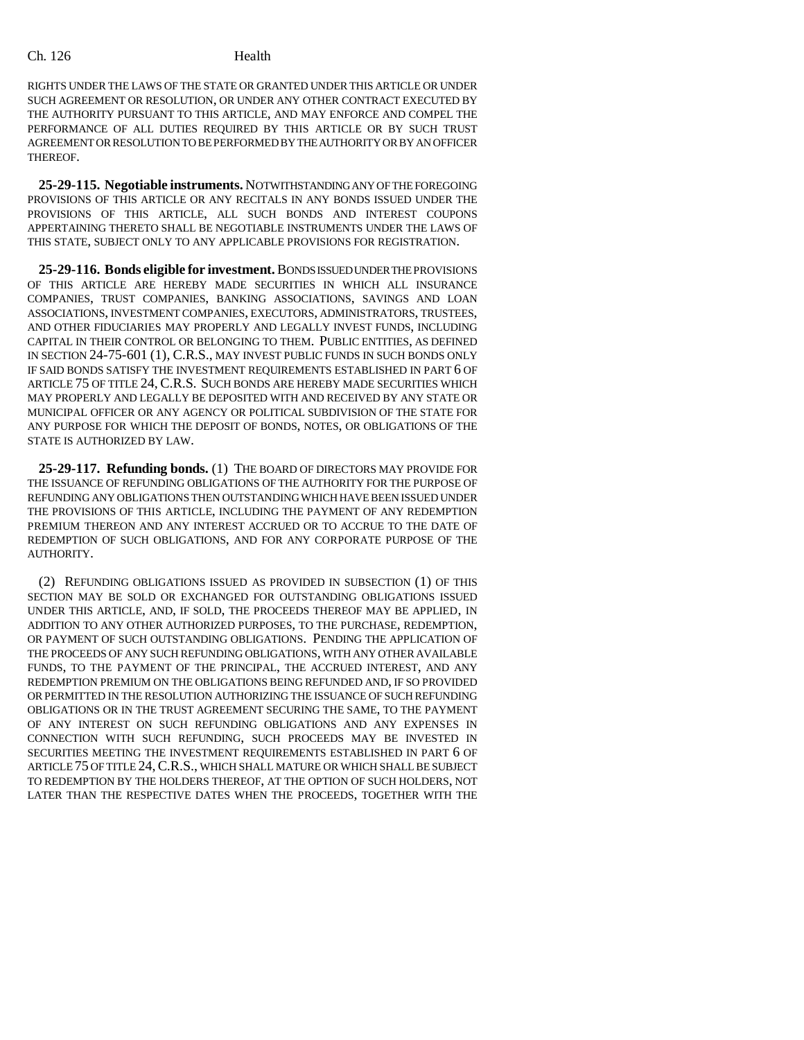RIGHTS UNDER THE LAWS OF THE STATE OR GRANTED UNDER THIS ARTICLE OR UNDER SUCH AGREEMENT OR RESOLUTION, OR UNDER ANY OTHER CONTRACT EXECUTED BY THE AUTHORITY PURSUANT TO THIS ARTICLE, AND MAY ENFORCE AND COMPEL THE PERFORMANCE OF ALL DUTIES REQUIRED BY THIS ARTICLE OR BY SUCH TRUST AGREEMENT OR RESOLUTION TO BE PERFORMED BY THE AUTHORITY OR BY AN OFFICER THEREOF.

**25-29-115. Negotiable instruments.** NOTWITHSTANDING ANY OF THE FOREGOING PROVISIONS OF THIS ARTICLE OR ANY RECITALS IN ANY BONDS ISSUED UNDER THE PROVISIONS OF THIS ARTICLE, ALL SUCH BONDS AND INTEREST COUPONS APPERTAINING THERETO SHALL BE NEGOTIABLE INSTRUMENTS UNDER THE LAWS OF THIS STATE, SUBJECT ONLY TO ANY APPLICABLE PROVISIONS FOR REGISTRATION.

**25-29-116. Bonds eligible for investment.** BONDS ISSUED UNDER THE PROVISIONS OF THIS ARTICLE ARE HEREBY MADE SECURITIES IN WHICH ALL INSURANCE COMPANIES, TRUST COMPANIES, BANKING ASSOCIATIONS, SAVINGS AND LOAN ASSOCIATIONS, INVESTMENT COMPANIES, EXECUTORS, ADMINISTRATORS, TRUSTEES, AND OTHER FIDUCIARIES MAY PROPERLY AND LEGALLY INVEST FUNDS, INCLUDING CAPITAL IN THEIR CONTROL OR BELONGING TO THEM. PUBLIC ENTITIES, AS DEFINED IN SECTION 24-75-601 (1), C.R.S., MAY INVEST PUBLIC FUNDS IN SUCH BONDS ONLY IF SAID BONDS SATISFY THE INVESTMENT REQUIREMENTS ESTABLISHED IN PART 6 OF ARTICLE 75 OF TITLE 24, C.R.S. SUCH BONDS ARE HEREBY MADE SECURITIES WHICH MAY PROPERLY AND LEGALLY BE DEPOSITED WITH AND RECEIVED BY ANY STATE OR MUNICIPAL OFFICER OR ANY AGENCY OR POLITICAL SUBDIVISION OF THE STATE FOR ANY PURPOSE FOR WHICH THE DEPOSIT OF BONDS, NOTES, OR OBLIGATIONS OF THE STATE IS AUTHORIZED BY LAW.

**25-29-117. Refunding bonds.** (1) THE BOARD OF DIRECTORS MAY PROVIDE FOR THE ISSUANCE OF REFUNDING OBLIGATIONS OF THE AUTHORITY FOR THE PURPOSE OF REFUNDING ANY OBLIGATIONS THEN OUTSTANDING WHICH HAVE BEEN ISSUED UNDER THE PROVISIONS OF THIS ARTICLE, INCLUDING THE PAYMENT OF ANY REDEMPTION PREMIUM THEREON AND ANY INTEREST ACCRUED OR TO ACCRUE TO THE DATE OF REDEMPTION OF SUCH OBLIGATIONS, AND FOR ANY CORPORATE PURPOSE OF THE AUTHORITY.

(2) REFUNDING OBLIGATIONS ISSUED AS PROVIDED IN SUBSECTION (1) OF THIS SECTION MAY BE SOLD OR EXCHANGED FOR OUTSTANDING OBLIGATIONS ISSUED UNDER THIS ARTICLE, AND, IF SOLD, THE PROCEEDS THEREOF MAY BE APPLIED, IN ADDITION TO ANY OTHER AUTHORIZED PURPOSES, TO THE PURCHASE, REDEMPTION, OR PAYMENT OF SUCH OUTSTANDING OBLIGATIONS. PENDING THE APPLICATION OF THE PROCEEDS OF ANY SUCH REFUNDING OBLIGATIONS, WITH ANY OTHER AVAILABLE FUNDS, TO THE PAYMENT OF THE PRINCIPAL, THE ACCRUED INTEREST, AND ANY REDEMPTION PREMIUM ON THE OBLIGATIONS BEING REFUNDED AND, IF SO PROVIDED OR PERMITTED IN THE RESOLUTION AUTHORIZING THE ISSUANCE OF SUCH REFUNDING OBLIGATIONS OR IN THE TRUST AGREEMENT SECURING THE SAME, TO THE PAYMENT OF ANY INTEREST ON SUCH REFUNDING OBLIGATIONS AND ANY EXPENSES IN CONNECTION WITH SUCH REFUNDING, SUCH PROCEEDS MAY BE INVESTED IN SECURITIES MEETING THE INVESTMENT REQUIREMENTS ESTABLISHED IN PART 6 OF ARTICLE 75 OF TITLE 24,C.R.S., WHICH SHALL MATURE OR WHICH SHALL BE SUBJECT TO REDEMPTION BY THE HOLDERS THEREOF, AT THE OPTION OF SUCH HOLDERS, NOT LATER THAN THE RESPECTIVE DATES WHEN THE PROCEEDS, TOGETHER WITH THE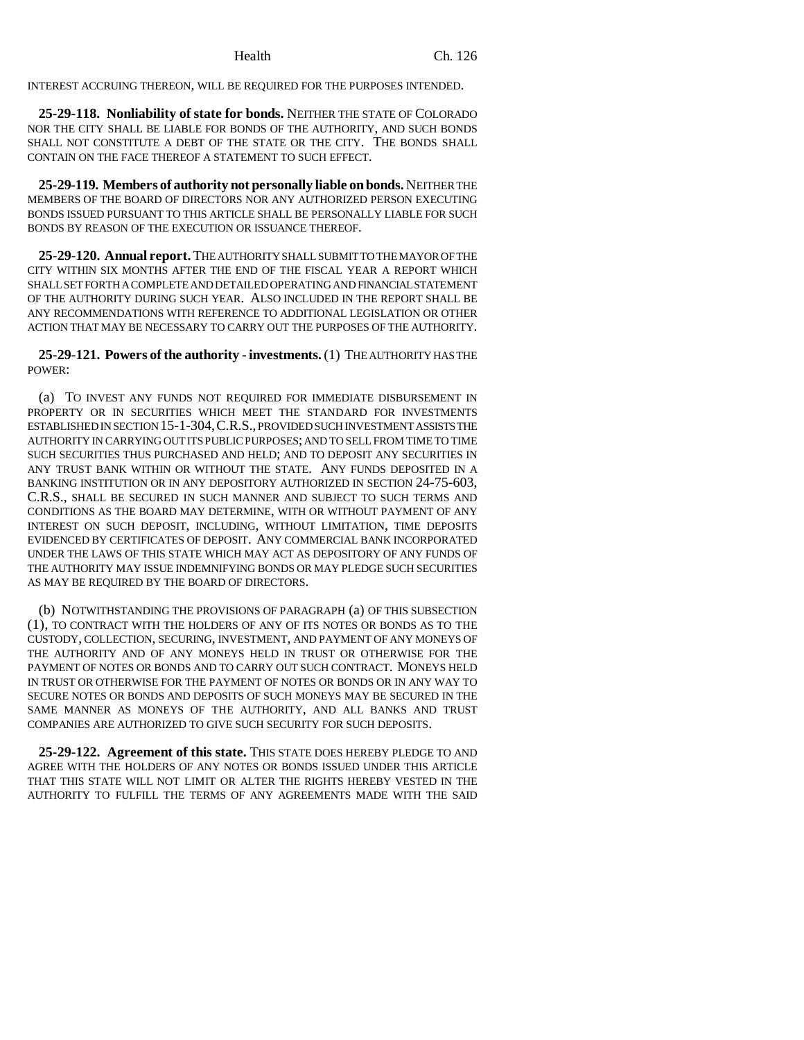INTEREST ACCRUING THEREON, WILL BE REQUIRED FOR THE PURPOSES INTENDED.

**25-29-118. Nonliability of state for bonds.** NEITHER THE STATE OF COLORADO NOR THE CITY SHALL BE LIABLE FOR BONDS OF THE AUTHORITY, AND SUCH BONDS SHALL NOT CONSTITUTE A DEBT OF THE STATE OR THE CITY. THE BONDS SHALL CONTAIN ON THE FACE THEREOF A STATEMENT TO SUCH EFFECT.

**25-29-119. Members of authority not personally liable on bonds.** NEITHER THE MEMBERS OF THE BOARD OF DIRECTORS NOR ANY AUTHORIZED PERSON EXECUTING BONDS ISSUED PURSUANT TO THIS ARTICLE SHALL BE PERSONALLY LIABLE FOR SUCH BONDS BY REASON OF THE EXECUTION OR ISSUANCE THEREOF.

**25-29-120. Annual report.** THE AUTHORITY SHALL SUBMIT TO THE MAYOR OF THE CITY WITHIN SIX MONTHS AFTER THE END OF THE FISCAL YEAR A REPORT WHICH SHALL SET FORTH A COMPLETE AND DETAILED OPERATING AND FINANCIAL STATEMENT OF THE AUTHORITY DURING SUCH YEAR. ALSO INCLUDED IN THE REPORT SHALL BE ANY RECOMMENDATIONS WITH REFERENCE TO ADDITIONAL LEGISLATION OR OTHER ACTION THAT MAY BE NECESSARY TO CARRY OUT THE PURPOSES OF THE AUTHORITY.

**25-29-121. Powers of the authority - investments.** (1) THE AUTHORITY HAS THE POWER:

(a) TO INVEST ANY FUNDS NOT REQUIRED FOR IMMEDIATE DISBURSEMENT IN PROPERTY OR IN SECURITIES WHICH MEET THE STANDARD FOR INVESTMENTS ESTABLISHED IN SECTION 15-1-304,C.R.S., PROVIDED SUCH INVESTMENT ASSISTS THE AUTHORITY IN CARRYING OUT ITS PUBLIC PURPOSES; AND TO SELL FROM TIME TO TIME SUCH SECURITIES THUS PURCHASED AND HELD; AND TO DEPOSIT ANY SECURITIES IN ANY TRUST BANK WITHIN OR WITHOUT THE STATE. ANY FUNDS DEPOSITED IN A BANKING INSTITUTION OR IN ANY DEPOSITORY AUTHORIZED IN SECTION 24-75-603, C.R.S., SHALL BE SECURED IN SUCH MANNER AND SUBJECT TO SUCH TERMS AND CONDITIONS AS THE BOARD MAY DETERMINE, WITH OR WITHOUT PAYMENT OF ANY INTEREST ON SUCH DEPOSIT, INCLUDING, WITHOUT LIMITATION, TIME DEPOSITS EVIDENCED BY CERTIFICATES OF DEPOSIT. ANY COMMERCIAL BANK INCORPORATED UNDER THE LAWS OF THIS STATE WHICH MAY ACT AS DEPOSITORY OF ANY FUNDS OF THE AUTHORITY MAY ISSUE INDEMNIFYING BONDS OR MAY PLEDGE SUCH SECURITIES AS MAY BE REQUIRED BY THE BOARD OF DIRECTORS.

(b) NOTWITHSTANDING THE PROVISIONS OF PARAGRAPH (a) OF THIS SUBSECTION (1), TO CONTRACT WITH THE HOLDERS OF ANY OF ITS NOTES OR BONDS AS TO THE CUSTODY, COLLECTION, SECURING, INVESTMENT, AND PAYMENT OF ANY MONEYS OF THE AUTHORITY AND OF ANY MONEYS HELD IN TRUST OR OTHERWISE FOR THE PAYMENT OF NOTES OR BONDS AND TO CARRY OUT SUCH CONTRACT. MONEYS HELD IN TRUST OR OTHERWISE FOR THE PAYMENT OF NOTES OR BONDS OR IN ANY WAY TO SECURE NOTES OR BONDS AND DEPOSITS OF SUCH MONEYS MAY BE SECURED IN THE SAME MANNER AS MONEYS OF THE AUTHORITY, AND ALL BANKS AND TRUST COMPANIES ARE AUTHORIZED TO GIVE SUCH SECURITY FOR SUCH DEPOSITS.

**25-29-122. Agreement of this state.** THIS STATE DOES HEREBY PLEDGE TO AND AGREE WITH THE HOLDERS OF ANY NOTES OR BONDS ISSUED UNDER THIS ARTICLE THAT THIS STATE WILL NOT LIMIT OR ALTER THE RIGHTS HEREBY VESTED IN THE AUTHORITY TO FULFILL THE TERMS OF ANY AGREEMENTS MADE WITH THE SAID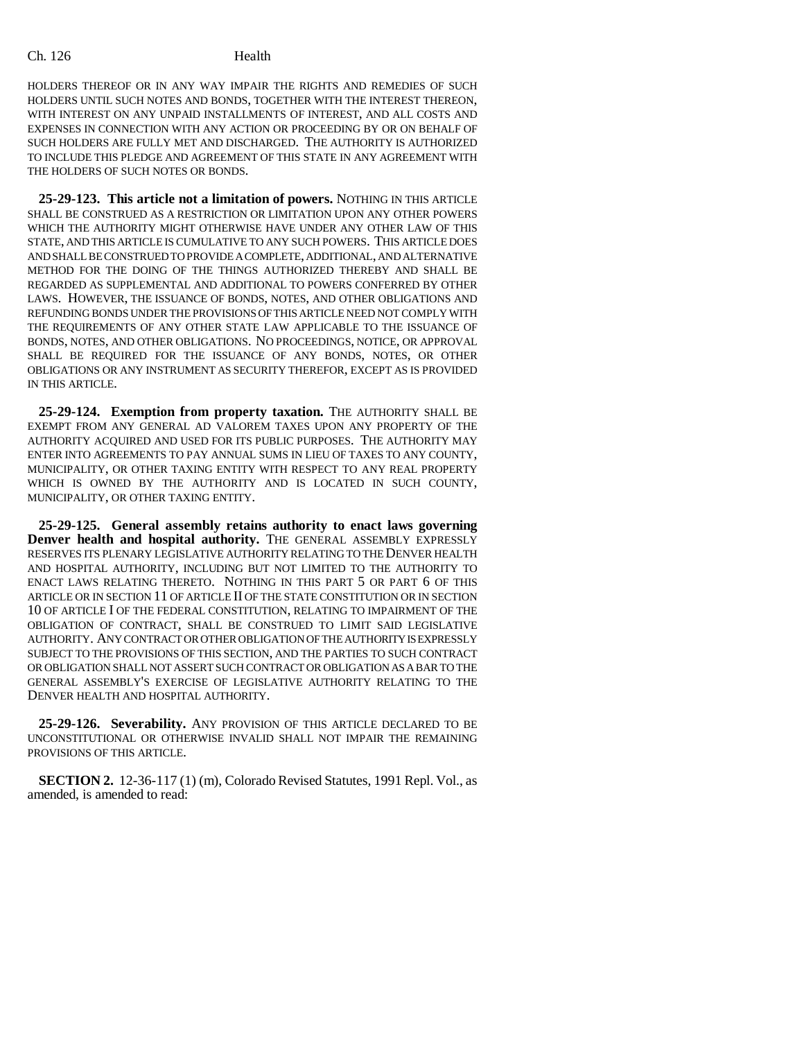HOLDERS THEREOF OR IN ANY WAY IMPAIR THE RIGHTS AND REMEDIES OF SUCH HOLDERS UNTIL SUCH NOTES AND BONDS, TOGETHER WITH THE INTEREST THEREON, WITH INTEREST ON ANY UNPAID INSTALLMENTS OF INTEREST, AND ALL COSTS AND EXPENSES IN CONNECTION WITH ANY ACTION OR PROCEEDING BY OR ON BEHALF OF SUCH HOLDERS ARE FULLY MET AND DISCHARGED. THE AUTHORITY IS AUTHORIZED TO INCLUDE THIS PLEDGE AND AGREEMENT OF THIS STATE IN ANY AGREEMENT WITH THE HOLDERS OF SUCH NOTES OR BONDS.

**25-29-123. This article not a limitation of powers.** NOTHING IN THIS ARTICLE SHALL BE CONSTRUED AS A RESTRICTION OR LIMITATION UPON ANY OTHER POWERS WHICH THE AUTHORITY MIGHT OTHERWISE HAVE UNDER ANY OTHER LAW OF THIS STATE, AND THIS ARTICLE IS CUMULATIVE TO ANY SUCH POWERS. THIS ARTICLE DOES AND SHALL BE CONSTRUED TO PROVIDE A COMPLETE, ADDITIONAL, AND ALTERNATIVE METHOD FOR THE DOING OF THE THINGS AUTHORIZED THEREBY AND SHALL BE REGARDED AS SUPPLEMENTAL AND ADDITIONAL TO POWERS CONFERRED BY OTHER LAWS. HOWEVER, THE ISSUANCE OF BONDS, NOTES, AND OTHER OBLIGATIONS AND REFUNDING BONDS UNDER THE PROVISIONS OF THIS ARTICLE NEED NOT COMPLY WITH THE REQUIREMENTS OF ANY OTHER STATE LAW APPLICABLE TO THE ISSUANCE OF BONDS, NOTES, AND OTHER OBLIGATIONS. NO PROCEEDINGS, NOTICE, OR APPROVAL SHALL BE REQUIRED FOR THE ISSUANCE OF ANY BONDS, NOTES, OR OTHER OBLIGATIONS OR ANY INSTRUMENT AS SECURITY THEREFOR, EXCEPT AS IS PROVIDED IN THIS ARTICLE.

**25-29-124. Exemption from property taxation.** THE AUTHORITY SHALL BE EXEMPT FROM ANY GENERAL AD VALOREM TAXES UPON ANY PROPERTY OF THE AUTHORITY ACQUIRED AND USED FOR ITS PUBLIC PURPOSES. THE AUTHORITY MAY ENTER INTO AGREEMENTS TO PAY ANNUAL SUMS IN LIEU OF TAXES TO ANY COUNTY, MUNICIPALITY, OR OTHER TAXING ENTITY WITH RESPECT TO ANY REAL PROPERTY WHICH IS OWNED BY THE AUTHORITY AND IS LOCATED IN SUCH COUNTY, MUNICIPALITY, OR OTHER TAXING ENTITY.

**25-29-125. General assembly retains authority to enact laws governing Denver health and hospital authority.** THE GENERAL ASSEMBLY EXPRESSLY RESERVES ITS PLENARY LEGISLATIVE AUTHORITY RELATING TO THE DENVER HEALTH AND HOSPITAL AUTHORITY, INCLUDING BUT NOT LIMITED TO THE AUTHORITY TO ENACT LAWS RELATING THERETO. NOTHING IN THIS PART 5 OR PART 6 OF THIS ARTICLE OR IN SECTION 11 OF ARTICLE II OF THE STATE CONSTITUTION OR IN SECTION 10 OF ARTICLE I OF THE FEDERAL CONSTITUTION, RELATING TO IMPAIRMENT OF THE OBLIGATION OF CONTRACT, SHALL BE CONSTRUED TO LIMIT SAID LEGISLATIVE AUTHORITY. ANY CONTRACT OR OTHER OBLIGATION OF THE AUTHORITY IS EXPRESSLY SUBJECT TO THE PROVISIONS OF THIS SECTION, AND THE PARTIES TO SUCH CONTRACT OR OBLIGATION SHALL NOT ASSERT SUCH CONTRACT OR OBLIGATION AS A BAR TO THE GENERAL ASSEMBLY'S EXERCISE OF LEGISLATIVE AUTHORITY RELATING TO THE DENVER HEALTH AND HOSPITAL AUTHORITY.

**25-29-126. Severability.** ANY PROVISION OF THIS ARTICLE DECLARED TO BE UNCONSTITUTIONAL OR OTHERWISE INVALID SHALL NOT IMPAIR THE REMAINING PROVISIONS OF THIS ARTICLE.

**SECTION 2.** 12-36-117 (1) (m), Colorado Revised Statutes, 1991 Repl. Vol., as amended, is amended to read: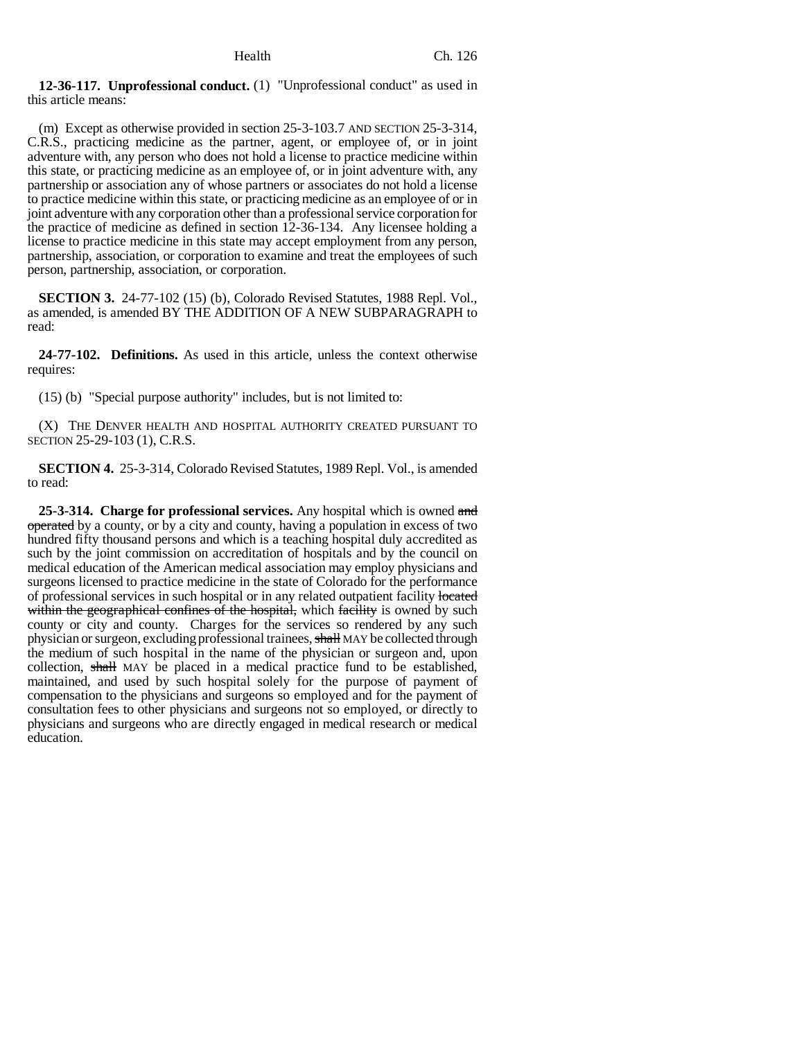**12-36-117. Unprofessional conduct.** (1) "Unprofessional conduct" as used in this article means:

(m) Except as otherwise provided in section 25-3-103.7 AND SECTION 25-3-314, C.R.S., practicing medicine as the partner, agent, or employee of, or in joint adventure with, any person who does not hold a license to practice medicine within this state, or practicing medicine as an employee of, or in joint adventure with, any partnership or association any of whose partners or associates do not hold a license to practice medicine within this state, or practicing medicine as an employee of or in joint adventure with any corporation other than a professional service corporation for the practice of medicine as defined in section 12-36-134. Any licensee holding a license to practice medicine in this state may accept employment from any person, partnership, association, or corporation to examine and treat the employees of such person, partnership, association, or corporation.

**SECTION 3.** 24-77-102 (15) (b), Colorado Revised Statutes, 1988 Repl. Vol., as amended, is amended BY THE ADDITION OF A NEW SUBPARAGRAPH to read:

**24-77-102. Definitions.** As used in this article, unless the context otherwise requires:

(15) (b) "Special purpose authority" includes, but is not limited to:

(X) THE DENVER HEALTH AND HOSPITAL AUTHORITY CREATED PURSUANT TO SECTION 25-29-103 (1), C.R.S.

**SECTION 4.** 25-3-314, Colorado Revised Statutes, 1989 Repl. Vol., is amended to read:

**25-3-314. Charge for professional services.** Any hospital which is owned and operated by a county, or by a city and county, having a population in excess of two hundred fifty thousand persons and which is a teaching hospital duly accredited as such by the joint commission on accreditation of hospitals and by the council on medical education of the American medical association may employ physicians and surgeons licensed to practice medicine in the state of Colorado for the performance of professional services in such hospital or in any related outpatient facility located within the geographical confines of the hospital, which facility is owned by such county or city and county. Charges for the services so rendered by any such physician or surgeon, excluding professional trainees, shall MAY be collected through the medium of such hospital in the name of the physician or surgeon and, upon collection, shall MAY be placed in a medical practice fund to be established, maintained, and used by such hospital solely for the purpose of payment of compensation to the physicians and surgeons so employed and for the payment of consultation fees to other physicians and surgeons not so employed, or directly to physicians and surgeons who are directly engaged in medical research or medical education.